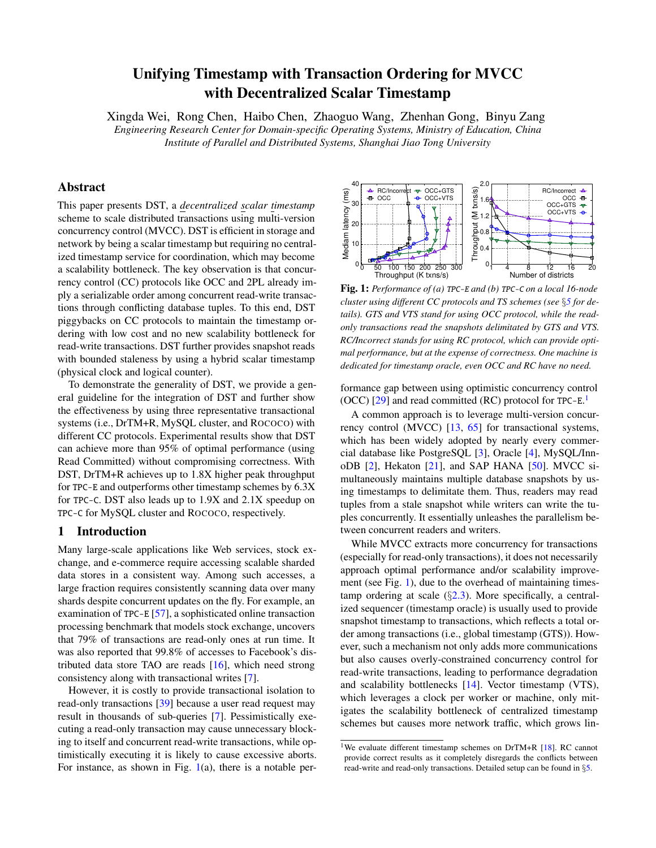# Unifying Timestamp with Transaction Ordering for MVCC with Decentralized Scalar Timestamp

Xingda Wei, Rong Chen, Haibo Chen, Zhaoguo Wang, Zhenhan Gong, Binyu Zang *Engineering Research Center for Domain-specific Operating Systems, Ministry of Education, China Institute of Parallel and Distributed Systems, Shanghai Jiao Tong University*

# Abstract

This paper presents DST, a *decentralized scalar timestamp* scheme to scale distributed transactions using multi-version concurrency control (MVCC). DST is efficient in storage and network by being a scalar timestamp but requiring no centralized timestamp service for coordination, which may become a scalability bottleneck. The key observation is that concurrency control (CC) protocols like OCC and 2PL already imply a serializable order among concurrent read-write transactions through conflicting database tuples. To this end, DST piggybacks on CC protocols to maintain the timestamp ordering with low cost and no new scalability bottleneck for read-write transactions. DST further provides snapshot reads with bounded staleness by using a hybrid scalar timestamp (physical clock and logical counter).

To demonstrate the generality of DST, we provide a general guideline for the integration of DST and further show the effectiveness by using three representative transactional systems (i.e., DrTM+R, MySQL cluster, and ROCOCO) with different CC protocols. Experimental results show that DST can achieve more than 95% of optimal performance (using Read Committed) without compromising correctness. With DST, DrTM+R achieves up to 1.8X higher peak throughput for TPC-E and outperforms other timestamp schemes by 6.3X for TPC-C. DST also leads up to 1.9X and 2.1X speedup on TPC-C for MySQL cluster and ROCOCO, respectively.

# 1 Introduction

Many large-scale applications like Web services, stock exchange, and e-commerce require accessing scalable sharded data stores in a consistent way. Among such accesses, a large fraction requires consistently scanning data over many shards despite concurrent updates on the fly. For example, an examination of TPC-E [\[57\]](#page-15-0), a sophisticated online transaction processing benchmark that models stock exchange, uncovers that 79% of transactions are read-only ones at run time. It was also reported that 99.8% of accesses to Facebook's distributed data store TAO are reads [\[16\]](#page-13-0), which need strong consistency along with transactional writes [\[7\]](#page-12-0).

However, it is costly to provide transactional isolation to read-only transactions [\[39\]](#page-14-0) because a user read request may result in thousands of sub-queries [\[7\]](#page-12-0). Pessimistically executing a read-only transaction may cause unnecessary blocking to itself and concurrent read-write transactions, while optimistically executing it is likely to cause excessive aborts. For instance, as shown in Fig.  $1(a)$  $1(a)$ , there is a notable per-

<span id="page-0-0"></span>

Fig. 1: *Performance of (a)* TPC-E *and (b)* TPC-C *on a local 16-node cluster using different CC protocols and TS schemes (see* §*[5](#page-8-0) for details). GTS and VTS stand for using OCC protocol, while the readonly transactions read the snapshots delimitated by GTS and VTS. RC/Incorrect stands for using RC protocol, which can provide optimal performance, but at the expense of correctness. One machine is dedicated for timestamp oracle, even OCC and RC have no need.*

formance gap between using optimistic concurrency control  $(OCC)$  [\[29\]](#page-13-1) and read committed (RC) protocol for TPC-E.<sup>1</sup>

A common approach is to leverage multi-version concurrency control (MVCC) [\[13,](#page-13-2) [65\]](#page-15-1) for transactional systems, which has been widely adopted by nearly every commercial database like PostgreSQL [\[3\]](#page-12-1), Oracle [\[4\]](#page-12-2), MySQL/InnoDB  $[2]$ , Hekaton  $[21]$ , and SAP HANA  $[50]$ . MVCC simultaneously maintains multiple database snapshots by using timestamps to delimitate them. Thus, readers may read tuples from a stale snapshot while writers can write the tuples concurrently. It essentially unleashes the parallelism between concurrent readers and writers.

While MVCC extracts more concurrency for transactions (especially for read-only transactions), it does not necessarily approach optimal performance and/or scalability improvement (see Fig. [1\)](#page-0-0), due to the overhead of maintaining timestamp ordering at scale  $(\S2.3)$  $(\S2.3)$ . More specifically, a centralized sequencer (timestamp oracle) is usually used to provide snapshot timestamp to transactions, which reflects a total order among transactions (i.e., global timestamp (GTS)). However, such a mechanism not only adds more communications but also causes overly-constrained concurrency control for read-write transactions, leading to performance degradation and scalability bottlenecks [\[14\]](#page-13-4). Vector timestamp (VTS), which leverages a clock per worker or machine, only mitigates the scalability bottleneck of centralized timestamp schemes but causes more network traffic, which grows lin-

<sup>&</sup>lt;sup>1</sup>We evaluate different timestamp schemes on DrTM+R [\[18\]](#page-13-5). RC cannot provide correct results as it completely disregards the conflicts between read-write and read-only transactions. Detailed setup can be found in §[5.](#page-8-0)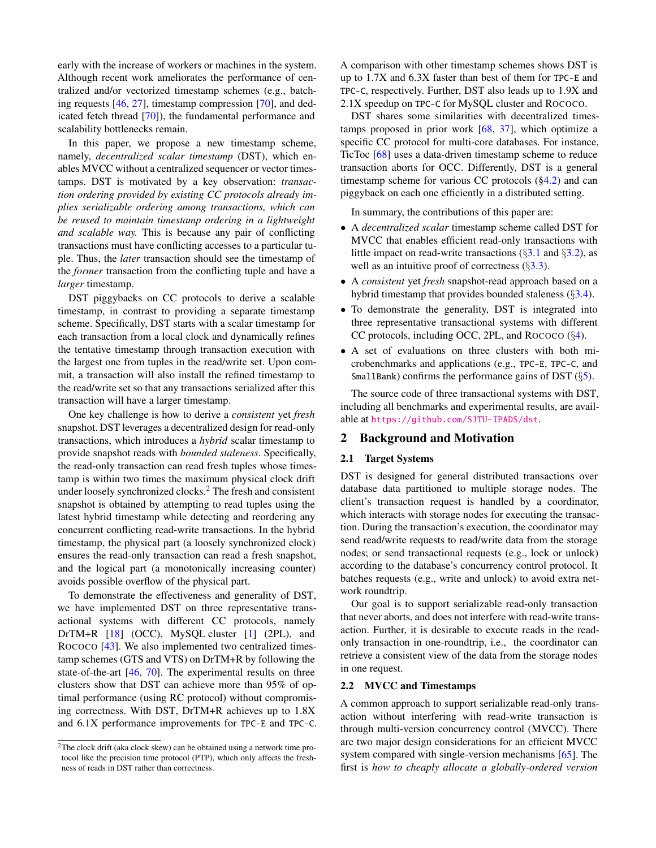early with the increase of workers or machines in the system. Although recent work ameliorates the performance of centralized and/or vectorized timestamp schemes (e.g., batching requests [\[46,](#page-14-2) [27\]](#page-13-6), timestamp compression [\[70\]](#page-15-2), and dedicated fetch thread [\[70\]](#page-15-2)), the fundamental performance and scalability bottlenecks remain.

In this paper, we propose a new timestamp scheme, namely, *decentralized scalar timestamp* (DST), which enables MVCC without a centralized sequencer or vector timestamps. DST is motivated by a key observation: *transaction ordering provided by existing CC protocols already implies serializable ordering among transactions, which can be reused to maintain timestamp ordering in a lightweight and scalable way.* This is because any pair of conflicting transactions must have conflicting accesses to a particular tuple. Thus, the *later* transaction should see the timestamp of the *former* transaction from the conflicting tuple and have a *larger* timestamp.

DST piggybacks on CC protocols to derive a scalable timestamp, in contrast to providing a separate timestamp scheme. Specifically, DST starts with a scalar timestamp for each transaction from a local clock and dynamically refines the tentative timestamp through transaction execution with the largest one from tuples in the read/write set. Upon commit, a transaction will also install the refined timestamp to the read/write set so that any transactions serialized after this transaction will have a larger timestamp.

One key challenge is how to derive a *consistent* yet *fresh* snapshot. DST leverages a decentralized design for read-only transactions, which introduces a *hybrid* scalar timestamp to provide snapshot reads with *bounded staleness*. Specifically, the read-only transaction can read fresh tuples whose timestamp is within two times the maximum physical clock drift under loosely synchronized clocks.<sup>2</sup> The fresh and consistent snapshot is obtained by attempting to read tuples using the latest hybrid timestamp while detecting and reordering any concurrent conflicting read-write transactions. In the hybrid timestamp, the physical part (a loosely synchronized clock) ensures the read-only transaction can read a fresh snapshot, and the logical part (a monotonically increasing counter) avoids possible overflow of the physical part.

To demonstrate the effectiveness and generality of DST, we have implemented DST on three representative transactional systems with different CC protocols, namely DrTM+R [\[18\]](#page-13-5) (OCC), MySQL cluster [\[1\]](#page-12-4) (2PL), and ROCOCO [\[43\]](#page-14-3). We also implemented two centralized timestamp schemes (GTS and VTS) on DrTM+R by following the state-of-the-art [\[46,](#page-14-2) [70\]](#page-15-2). The experimental results on three clusters show that DST can achieve more than 95% of optimal performance (using RC protocol) without compromising correctness. With DST, DrTM+R achieves up to 1.8X and 6.1X performance improvements for TPC-E and TPC-C. A comparison with other timestamp schemes shows DST is up to 1.7X and 6.3X faster than best of them for TPC-E and TPC-C, respectively. Further, DST also leads up to 1.9X and 2.1X speedup on TPC-C for MySQL cluster and ROCOCO.

DST shares some similarities with decentralized timestamps proposed in prior work [\[68,](#page-15-3) [37\]](#page-14-4), which optimize a specific CC protocol for multi-core databases. For instance, TicToc [\[68\]](#page-15-3) uses a data-driven timestamp scheme to reduce transaction aborts for OCC. Differently, DST is a general timestamp scheme for various CC protocols  $(\S4.2)$  and can piggyback on each one efficiently in a distributed setting.

In summary, the contributions of this paper are:

- A *decentralized scalar* timestamp scheme called DST for MVCC that enables efficient read-only transactions with little impact on read-write transactions  $(\S3.1 \text{ and } \S3.2)$  $(\S3.1 \text{ and } \S3.2)$  $(\S3.1 \text{ and } \S3.2)$  $(\S3.1 \text{ and } \S3.2)$ , as well as an intuitive proof of correctness  $(\S3.3)$  $(\S3.3)$ .
- A *consistent* yet *fresh* snapshot-read approach based on a hybrid timestamp that provides bounded staleness  $(\S3.4)$  $(\S3.4)$ .
- To demonstrate the generality, DST is integrated into three representative transactional systems with different CC protocols, including OCC, 2PL, and ROCOCO (§[4\)](#page-7-1).
- A set of evaluations on three clusters with both microbenchmarks and applications (e.g., TPC-E, TPC-C, and SmallBank) confirms the performance gains of DST  $(\S$ [5\)](#page-8-0).

The source code of three transactional systems with DST, including all benchmarks and experimental results, are available at <https://github.com/SJTU-IPADS/dst>.

# 2 Background and Motivation

### 2.1 Target Systems

DST is designed for general distributed transactions over database data partitioned to multiple storage nodes. The client's transaction request is handled by a coordinator, which interacts with storage nodes for executing the transaction. During the transaction's execution, the coordinator may send read/write requests to read/write data from the storage nodes; or send transactional requests (e.g., lock or unlock) according to the database's concurrency control protocol. It batches requests (e.g., write and unlock) to avoid extra network roundtrip.

Our goal is to support serializable read-only transaction that never aborts, and does not interfere with read-write transaction. Further, it is desirable to execute reads in the readonly transaction in one-roundtrip, i.e., the coordinator can retrieve a consistent view of the data from the storage nodes in one request.

#### 2.2 MVCC and Timestamps

A common approach to support serializable read-only transaction without interfering with read-write transaction is through multi-version concurrency control (MVCC). There are two major design considerations for an efficient MVCC system compared with single-version mechanisms [\[65\]](#page-15-1). The first is *how to cheaply allocate a globally-ordered version*

 $2$ The clock drift (aka clock skew) can be obtained using a network time protocol like the precision time protocol (PTP), which only affects the freshness of reads in DST rather than correctness.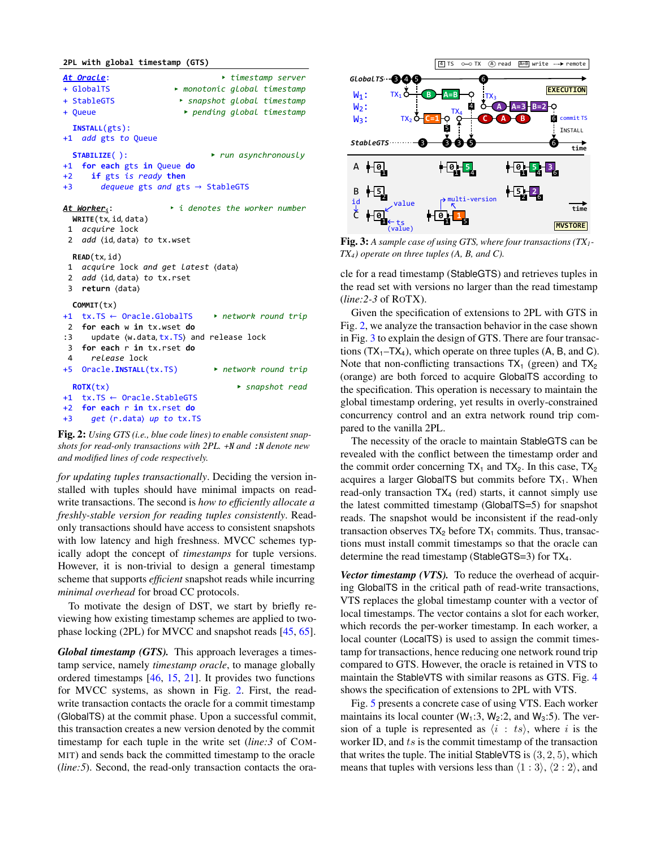<span id="page-2-0"></span>**2PL with global timestamp (GTS)**

*At Oracle*: ✁ *timestamp server* + GlobalTS ✁ *monotonic global timestamp* + StableGTS ✁ *snapshot global timestamp*  + Queue ✁ *pending global timestamp* **INSTALL**(gts): +1 *add* gts *to* Queue **STABILIZE**( ): ✁ *run asynchronously* +1 **for each** gts **in** Queue **do** +2 **if** gts *is ready* **then** +3 *dequeue* gts *and* gts → StableGTS *At Workeri*: ✁ *i denotes the worker number* **WRITE**(tx, id, data) 1 *acquire* lock 2 *add* (id, data) to tx.wset **READ**(tx, id) 1 *acquire* lock *and get latest* data 2 *add* (id, data) to tx.rset 3 **return** (data) **COMMIT**(tx) +1 tx.TS ← Oracle.GlobalTS ✁ *network round trip* 2 **for each** w **in** tx.wset **do** :3 update (w.data, tx.TS) and release lock 3 **for each** r **in** tx.rset **do** 4 *release* lock +5 Oracle.**INSTALL**(tx.TS) ✁ *network round trip* **ROTX**(tx) ✁ *snapshot read* +1 tx.TS ← Oracle.StableGTS +2 **for each** r **in** tx.rset **do** +3 *get* (r.data) up to tx.TS



*for updating tuples transactionally*. Deciding the version installed with tuples should have minimal impacts on readwrite transactions. The second is *how to efficiently allocate a freshly-stable version for reading tuples consistently*. Readonly transactions should have access to consistent snapshots with low latency and high freshness. MVCC schemes typically adopt the concept of *timestamps* for tuple versions. However, it is non-trivial to design a general timestamp scheme that supports *efficient* snapshot reads while incurring *minimal overhead* for broad CC protocols.

To motivate the design of DST, we start by briefly reviewing how existing timestamp schemes are applied to twophase locking (2PL) for MVCC and snapshot reads [\[45,](#page-14-5) [65\]](#page-15-1).

*Global timestamp (GTS).* This approach leverages a timestamp service, namely *timestamp oracle*, to manage globally ordered timestamps [\[46,](#page-14-2) [15,](#page-13-7) [21\]](#page-13-3). It provides two functions for MVCC systems, as shown in Fig. [2.](#page-2-0) First, the readwrite transaction contacts the oracle for a commit timestamp (GlobalTS) at the commit phase. Upon a successful commit, this transaction creates a new version denoted by the commit timestamp for each tuple in the write set (*line:3* of COM-MIT) and sends back the committed timestamp to the oracle (*line:5*). Second, the read-only transaction contacts the ora-

<span id="page-2-1"></span>

Fig. 3: *A sample case of using GTS, where four transactions (TX1- TX4) operate on three tuples (A, B, and C).*

cle for a read timestamp (StableGTS) and retrieves tuples in the read set with versions no larger than the read timestamp (*line:2-3* of ROTX).

Given the specification of extensions to 2PL with GTS in Fig. [2,](#page-2-0) we analyze the transaction behavior in the case shown in Fig. [3](#page-2-1) to explain the design of GTS. There are four transactions  $(TX_1-TX_4)$ , which operate on three tuples  $(A, B, and C)$ . Note that non-conflicting transactions  $TX_1$  (green) and  $TX_2$ (orange) are both forced to acquire GlobalTS according to the specification. This operation is necessary to maintain the global timestamp ordering, yet results in overly-constrained concurrency control and an extra network round trip compared to the vanilla 2PL.

The necessity of the oracle to maintain StableGTS can be revealed with the conflict between the timestamp order and the commit order concerning  $TX_1$  and  $TX_2$ . In this case,  $TX_2$ acquires a larger GlobalTS but commits before  $TX_1$ . When read-only transaction TX<sup>4</sup> (red) starts, it cannot simply use the latest committed timestamp (GlobalTS=5) for snapshot reads. The snapshot would be inconsistent if the read-only transaction observes  $TX_2$  before  $TX_1$  commits. Thus, transactions must install commit timestamps so that the oracle can determine the read timestamp (StableGTS=3) for TX4.

*Vector timestamp (VTS).* To reduce the overhead of acquiring GlobalTS in the critical path of read-write transactions, VTS replaces the global timestamp counter with a vector of local timestamps. The vector contains a slot for each worker, which records the per-worker timestamp. In each worker, a local counter (LocalTS) is used to assign the commit timestamp for transactions, hence reducing one network round trip compared to GTS. However, the oracle is retained in VTS to maintain the StableVTS with similar reasons as GTS. Fig. [4](#page-3-1) shows the specification of extensions to 2PL with VTS.

Fig. [5](#page-3-2) presents a concrete case of using VTS. Each worker maintains its local counter  $(W_1:3, W_2:2,$  and  $W_3:5)$ . The version of a tuple is represented as  $\langle i : ts \rangle$ , where i is the worker ID, and  $ts$  is the commit timestamp of the transaction that writes the tuple. The initial StableVTS is  $(3, 2, 5)$ , which means that tuples with versions less than  $\langle 1 : 3 \rangle$ ,  $\langle 2 : 2 \rangle$ , and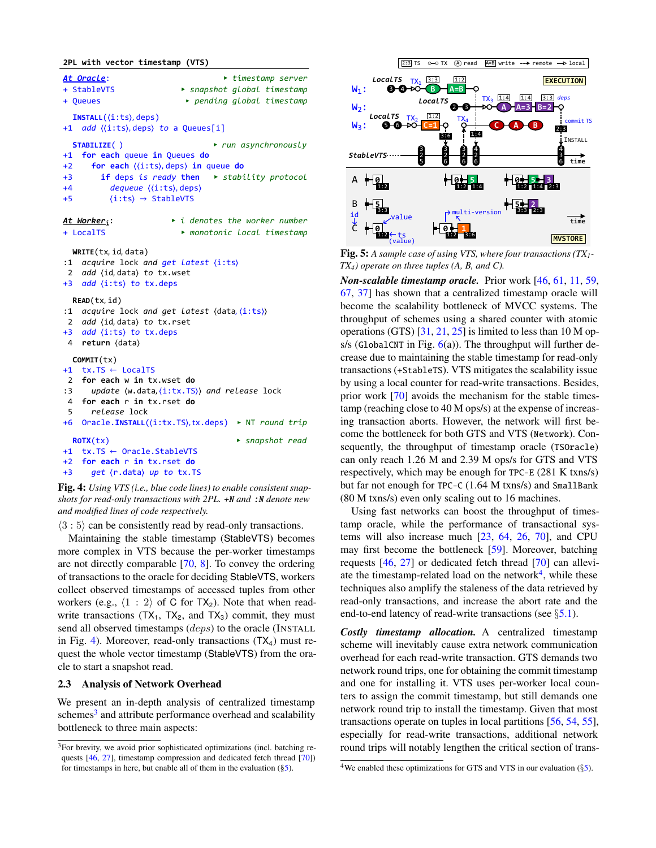#### <span id="page-3-1"></span>**2PL with vector timestamp (VTS)**

```
At Oracle:  timestamp server
+ StableVTS  snapshot global timestamp 
+ Queues  pending global timestamp
  INSTALL((i:ts), deps)
+1 add ((i:ts), deps) to a Queues[i]
  STABILIZE( )  run asynchronously
+1 for each queue in Queues do
+2 for each \langle\langle i:ts\rangle, \text{deps}\rangle in queue do
+3 if deps is ready then  stability protocol
+4 dequeue \langle \text{(i:ts)}, \text{deps} \rangle+5 \langle i:ts \rangle \rightarrow StableVTSAt Workeri:  i denotes the worker number
+ LocalTS  monotonic local timestamp
 WRITE(tx,	id,	data)
:1 acquire lock and get latest (i:ts)
 2 add (id, data) to tx.wset
+3 add (i:ts) to tx.deps
  READ(tx,	id)
:1 acquire lock and get latest (data, (i:ts))
 2 add (id, data) to tx.rset
+3 add (i:ts) to tx.deps
4 return (data)
 COMMIT(tx)
+1 tx.TS ← LocalTS
2 for each w in tx.wset do
:3 update (w.data, (i:tx.TS)) and release lock
4 for each r in tx.rset do
5 release lock
+6 Oracle.INSTALL((i:tx.TS),tx.deps) ▶ NT round trip
  ROTX(tx)  snapshot read
+1 tx.TS ← Oracle.StableVTS
+2 for each r in tx.rset do
+3 get (r.data) up to tx.TS
```
Fig. 4: *Using VTS (i.e., blue code lines) to enable consistent snapshots for read-only transactions with 2PL.* +N *and* :N *denote new and modified lines of code respectively.*

 $\langle 3:5 \rangle$  can be consistently read by read-only transactions.

Maintaining the stable timestamp (StableVTS) becomes more complex in VTS because the per-worker timestamps are not directly comparable [\[70,](#page-15-2) [8\]](#page-12-5). To convey the ordering of transactions to the oracle for deciding StableVTS, workers collect observed timestamps of accessed tuples from other workers (e.g.,  $\langle 1 : 2 \rangle$  of C for TX<sub>2</sub>). Note that when readwrite transactions  $(TX_1, TX_2,$  and  $TX_3)$  commit, they must send all observed timestamps (deps) to the oracle (INSTALL in Fig. [4\)](#page-3-1). Moreover, read-only transactions  $(TX_4)$  must request the whole vector timestamp (StableVTS) from the oracle to start a snapshot read.

### <span id="page-3-0"></span>2.3 Analysis of Network Overhead

We present an in-depth analysis of centralized timestamp schemes<sup>3</sup> and attribute performance overhead and scalability bottleneck to three main aspects:

<span id="page-3-2"></span>

Fig. 5: *A sample case of using VTS, where four transactions (TX1- TX4) operate on three tuples (A, B, and C).*

*Non-scalable timestamp oracle.* Prior work [\[46,](#page-14-2) [61,](#page-15-4) [11,](#page-12-6) [59,](#page-15-5) [67,](#page-15-6) [37\]](#page-14-4) has shown that a centralized timestamp oracle will become the scalability bottleneck of MVCC systems. The throughput of schemes using a shared counter with atomic operations (GTS)  $[31, 21, 25]$  $[31, 21, 25]$  $[31, 21, 25]$  $[31, 21, 25]$  $[31, 21, 25]$  is limited to less than 10 M ops/s (GlobalCNT in Fig.  $6(a)$  $6(a)$ ). The throughput will further decrease due to maintaining the stable timestamp for read-only transactions (+StableTS). VTS mitigates the scalability issue by using a local counter for read-write transactions. Besides, prior work [\[70\]](#page-15-2) avoids the mechanism for the stable timestamp (reaching close to 40 M ops/s) at the expense of increasing transaction aborts. However, the network will first become the bottleneck for both GTS and VTS (Network). Consequently, the throughput of timestamp oracle (TSOracle) can only reach 1.26 M and 2.39 M ops/s for GTS and VTS respectively, which may be enough for TPC-E (281 K txns/s) but far not enough for TPC-C (1.64 M txns/s) and SmallBank (80 M txns/s) even only scaling out to 16 machines.

Using fast networks can boost the throughput of timestamp oracle, while the performance of transactional systems will also increase much [\[23,](#page-13-10) [64,](#page-15-7) [26,](#page-13-11) [70\]](#page-15-2), and CPU may first become the bottleneck [\[59\]](#page-15-5). Moreover, batching requests [\[46,](#page-14-2) [27\]](#page-13-6) or dedicated fetch thread [\[70\]](#page-15-2) can alleviate the timestamp-related load on the network $4$ , while these techniques also amplify the staleness of the data retrieved by read-only transactions, and increase the abort rate and the end-to-end latency of read-write transactions (see  $\S$ [5.1\)](#page-9-0).

*Costly timestamp allocation.* A centralized timestamp scheme will inevitably cause extra network communication overhead for each read-write transaction. GTS demands two network round trips, one for obtaining the commit timestamp and one for installing it. VTS uses per-worker local counters to assign the commit timestamp, but still demands one network round trip to install the timestamp. Given that most transactions operate on tuples in local partitions [\[56,](#page-15-8) [54,](#page-15-9) [55\]](#page-15-10), especially for read-write transactions, additional network round trips will notably lengthen the critical section of trans-

<sup>&</sup>lt;sup>3</sup>For brevity, we avoid prior sophisticated optimizations (incl. batching re-quests [\[46,](#page-14-2) [27\]](#page-13-6), timestamp compression and dedicated fetch thread [\[70\]](#page-15-2)) for timestamps in here, but enable all of them in the evaluation  $(\S 5)$ .

<sup>&</sup>lt;sup>4</sup>We enabled these optimizations for GTS and VTS in our evaluation ( $\S$ [5\)](#page-8-0).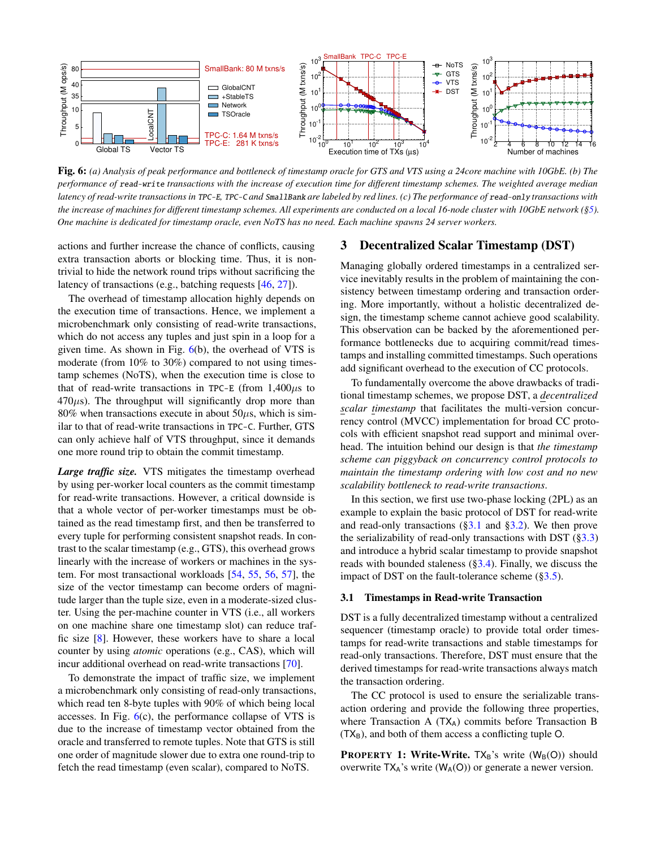<span id="page-4-1"></span>

Fig. 6: *(a) Analysis of peak performance and bottleneck of timestamp oracle for GTS and VTS using a 24core machine with 10GbE. (b) The performance of* read-write *transactions with the increase of execution time for different timestamp schemes. The weighted average median latency of read-write transactions in* TPC-E*,* TPC-C *and* SmallBank *are labeled by red lines. (c) The performance of* read-only *transactions with the increase of machines for different timestamp schemes. All experiments are conducted on a local 16-node cluster with 10GbE network ([§5\)](#page-8-0). One machine is dedicated for timestamp oracle, even NoTS has no need. Each machine spawns 24 server workers.*

actions and further increase the chance of conflicts, causing extra transaction aborts or blocking time. Thus, it is nontrivial to hide the network round trips without sacrificing the latency of transactions (e.g., batching requests [\[46,](#page-14-2) [27\]](#page-13-6)).

The overhead of timestamp allocation highly depends on the execution time of transactions. Hence, we implement a microbenchmark only consisting of read-write transactions, which do not access any tuples and just spin in a loop for a given time. As shown in Fig.  $6(b)$  $6(b)$ , the overhead of VTS is moderate (from 10% to 30%) compared to not using timestamp schemes (NoTS), when the execution time is close to that of read-write transactions in TPC-E (from  $1,400\mu s$  to  $470\mu s$ ). The throughput will significantly drop more than 80% when transactions execute in about  $50\mu$ s, which is similar to that of read-write transactions in TPC-C. Further, GTS can only achieve half of VTS throughput, since it demands one more round trip to obtain the commit timestamp.

*Large traffic size.* VTS mitigates the timestamp overhead by using per-worker local counters as the commit timestamp for read-write transactions. However, a critical downside is that a whole vector of per-worker timestamps must be obtained as the read timestamp first, and then be transferred to every tuple for performing consistent snapshot reads. In contrast to the scalar timestamp (e.g., GTS), this overhead grows linearly with the increase of workers or machines in the system. For most transactional workloads [\[54,](#page-15-9) [55,](#page-15-10) [56,](#page-15-8) [57\]](#page-15-0), the size of the vector timestamp can become orders of magnitude larger than the tuple size, even in a moderate-sized cluster. Using the per-machine counter in VTS (i.e., all workers on one machine share one timestamp slot) can reduce traffic size [\[8\]](#page-12-5). However, these workers have to share a local counter by using *atomic* operations (e.g., CAS), which will incur additional overhead on read-write transactions [\[70\]](#page-15-2).

To demonstrate the impact of traffic size, we implement a microbenchmark only consisting of read-only transactions, which read ten 8-byte tuples with 90% of which being local accesses. In Fig.  $6(c)$  $6(c)$ , the performance collapse of VTS is due to the increase of timestamp vector obtained from the oracle and transferred to remote tuples. Note that GTS is still one order of magnitude slower due to extra one round-trip to fetch the read timestamp (even scalar), compared to NoTS.

# 3 Decentralized Scalar Timestamp (DST)

Managing globally ordered timestamps in a centralized service inevitably results in the problem of maintaining the consistency between timestamp ordering and transaction ordering. More importantly, without a holistic decentralized design, the timestamp scheme cannot achieve good scalability. This observation can be backed by the aforementioned performance bottlenecks due to acquiring commit/read timestamps and installing committed timestamps. Such operations add significant overhead to the execution of CC protocols.

To fundamentally overcome the above drawbacks of traditional timestamp schemes, we propose DST, a *decentralized scalar timestamp* that facilitates the multi-version concurrency control (MVCC) implementation for broad CC protocols with efficient snapshot read support and minimal overhead. The intuition behind our design is that *the timestamp scheme can piggyback on concurrency control protocols to maintain the timestamp ordering with low cost and no new scalability bottleneck to read-write transactions*.

In this section, we first use two-phase locking (2PL) as an example to explain the basic protocol of DST for read-write and read-only transactions ([§3.1](#page-4-0) and [§3.2\)](#page-5-0). We then prove the serializability of read-only transactions with DST  $(\S3.3)$ and introduce a hybrid scalar timestamp to provide snapshot reads with bounded staleness ([§3.4\)](#page-7-0). Finally, we discuss the impact of DST on the fault-tolerance scheme  $(\S 3.5)$ .

### <span id="page-4-0"></span>3.1 Timestamps in Read-write Transaction

DST is a fully decentralized timestamp without a centralized sequencer (timestamp oracle) to provide total order timestamps for read-write transactions and stable timestamps for read-only transactions. Therefore, DST must ensure that the derived timestamps for read-write transactions always match the transaction ordering.

The CC protocol is used to ensure the serializable transaction ordering and provide the following three properties, where Transaction A  $(TX_A)$  commits before Transaction B  $(TX_B)$ , and both of them access a conflicting tuple O.

**PROPERTY 1: Write-Write.**  $TX_B$ 's write  $(W_B(O))$  should overwrite  $TX_A$ 's write  $(W_A(O))$  or generate a newer version.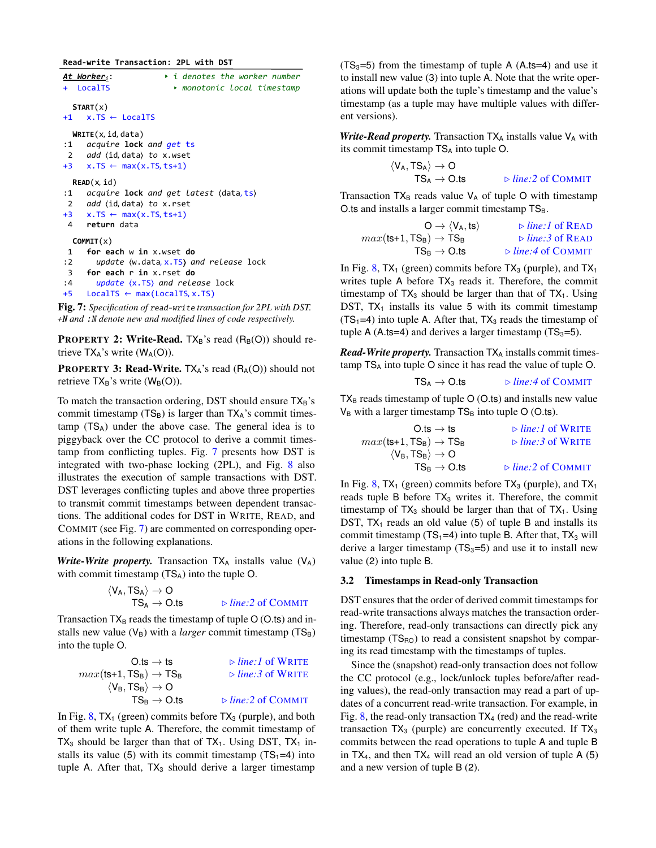<span id="page-5-1"></span>**Read-write Transaction: 2PL with DST**

| + LocalTS                                       | $\rightarrow$ i denotes the worker number<br>At Worker <sub>i</sub> :<br>► monotonic local timestamp                                                                                       |
|-------------------------------------------------|--------------------------------------------------------------------------------------------------------------------------------------------------------------------------------------------|
|                                                 | STAT(x)<br>+1 $x.TS \leftarrow$ LocalTS                                                                                                                                                    |
| :1<br>$2^{\circ}$                               | WRITE(x, id, data)<br>acquire <b>lock</b> and get ts<br>add (id, data) to x.wset<br>$+3$ x.TS $\leftarrow$ max(x.TS, ts+1)                                                                 |
| :1<br>$\overline{4}$                            | READ(x, id)<br><i>acquire</i> <b>lock</b> and get latest (data, ts)<br>2 add (id, data) to x.rset<br>$+3$ x.TS $\leftarrow$ max(x.TS, ts+1)<br>return data                                 |
| $\mathbf{1}$<br>:2<br>$3^{\circ}$<br>:4<br>$+5$ | COMMIT(x)<br>for each w in x.wset do<br>update $(w.data, x.TS)$ and release lock<br>for each r in x.rset do<br>update $(x.TS)$ and release lock<br>$LocalTS \leftarrow max(LocalTS, x.TS)$ |
|                                                 | П" Последник се се се се протива на противата на противата на противата на противата на противата на противата<br>$\cdot$ $\cdot$ $\cdot$ $\sim$ $\sigma$ $\tau$                           |



**PROPERTY 2: Write-Read.** TX<sub>B</sub>'s read  $(R_B(O))$  should retrieve  $TX_A$ 's write  $(W_A(O))$ .

**PROPERTY 3: Read-Write.** TXA's read  $(R_A(O))$  should not retrieve  $TX_B$ 's write  $(W_B(O))$ .

To match the transaction ordering, DST should ensure  $TX_B$ 's commit timestamp  $(TS_B)$  is larger than  $TX_A$ 's commit times $tamp$  (TS<sub>A</sub>) under the above case. The general idea is to piggyback over the CC protocol to derive a commit timestamp from conflicting tuples. Fig. [7](#page-5-1) presents how DST is integrated with two-phase locking (2PL), and Fig. [8](#page-6-1) also illustrates the execution of sample transactions with DST. DST leverages conflicting tuples and above three properties to transmit commit timestamps between dependent transactions. The additional codes for DST in WRITE, READ, and COMMIT (see Fig. [7\)](#page-5-1) are commented on corresponding operations in the following explanations.

*Write-Write property.* Transaction  $TX_A$  installs value  $(V_A)$ with commit timestamp  $(TS_A)$  into the tuple O.

$$
\begin{array}{l} \langle V_A, TS_A \rangle \rightarrow O \\ TS_A \rightarrow O.ts \end{array} \qquad \qquad \triangleright \textit{line:2 of Commit}
$$

Transaction  $TX_B$  reads the timestamp of tuple O (O.ts) and installs new value  $(V_B)$  with a *larger* commit timestamp ( $TS_B$ ) into the tuple O.

| O.ts $\rightarrow$ ts                                   | $\triangleright$ <i>line:</i> I of WRITE   |
|---------------------------------------------------------|--------------------------------------------|
| $max(\text{ts+1}, \text{TS}_B) \rightarrow \text{TS}_B$ | $\triangleright$ <i>line:</i> 3 of WRITE   |
| $\langle V_B, TS_B \rangle \rightarrow O$               |                                            |
| $TS_{\rm B} \rightarrow$ 0.ts                           | $\triangleright$ <i>line</i> : 2 of COMMIT |

In Fig. [8,](#page-6-1)  $TX_1$  (green) commits before  $TX_3$  (purple), and both of them write tuple A. Therefore, the commit timestamp of  $TX_3$  should be larger than that of  $TX_1$ . Using DST,  $TX_1$  installs its value (5) with its commit timestamp  $(TS_1=4)$  into tuple A. After that,  $TX_3$  should derive a larger timestamp

 $(TS_3=5)$  from the timestamp of tuple A (A.ts=4) and use it to install new value (3) into tuple A. Note that the write operations will update both the tuple's timestamp and the value's timestamp (as a tuple may have multiple values with different versions).

*Write-Read property.* Transaction  $TX_A$  installs value  $V_A$  with its commit timestamp  $TS_A$  into tuple O.

$$
\begin{array}{l} \langle V_A, TS_A \rangle \rightarrow O \\ TS_A \rightarrow O.ts \end{array} \qquad \qquad \triangleright \textit{line:2 of Commit}
$$

Transaction  $TX_B$  reads value  $V_A$  of tuple O with timestamp O.ts and installs a larger commit timestamp  $TS_B$ .

$$
\begin{array}{ccc} O\to \langle V_A, ts\rangle & \rhd line: I\ of\ READ\\ \max(ts{+}1,TS_B)\to TS_B & \rhd line:3\ of\ READ\\ TS_B\to O.ts & \rhd line:4\ of\ ComMIT\\ \end{array}
$$

In Fig. [8,](#page-6-1)  $TX_1$  (green) commits before  $TX_3$  (purple), and  $TX_1$ writes tuple A before  $TX_3$  reads it. Therefore, the commit timestamp of  $TX_3$  should be larger than that of  $TX_1$ . Using DST,  $TX_1$  installs its value 5 with its commit timestamp  $(TS_1=4)$  into tuple A. After that,  $TX_3$  reads the timestamp of tuple A (A.ts=4) and derives a larger timestamp ( $TS_3=5$ ).

*Read-Write property.* Transaction TX<sub>A</sub> installs commit timestamp TS<sup>A</sup> into tuple O since it has read the value of tuple O.

$$
TS_A \rightarrow O.ts \qquad \qquad \triangleright line: 4 \text{ of } COMMIT
$$

 $TX_B$  reads timestamp of tuple  $O(O.ts)$  and installs new value  $V_B$  with a larger timestamp  $TS_B$  into tuple O (O.ts).

| O.ts → ts                                 | ▶ line:1 of WRITE     |                    |
|-------------------------------------------|-----------------------|--------------------|
| $max(ts+1, TS_B) \rightarrow TS_B$        | ▶ line:3 of WRITE     |                    |
| $\langle V_B, TS_B \rangle \rightarrow O$ | TS_B \rightarrow O.ts | ▶ line:2 of COMMIT |

In Fig. [8,](#page-6-1)  $TX_1$  (green) commits before  $TX_3$  (purple), and  $TX_1$ reads tuple B before  $TX_3$  writes it. Therefore, the commit timestamp of  $TX_3$  should be larger than that of  $TX_1$ . Using DST,  $TX_1$  reads an old value (5) of tuple B and installs its commit timestamp  $(TS_1=4)$  into tuple B. After that,  $TX_3$  will derive a larger timestamp  $(TS_3=5)$  and use it to install new value (2) into tuple B.

### <span id="page-5-0"></span>3.2 Timestamps in Read-only Transaction

DST ensures that the order of derived commit timestamps for read-write transactions always matches the transaction ordering. Therefore, read-only transactions can directly pick any timestamp  $(TS_{RO})$  to read a consistent snapshot by comparing its read timestamp with the timestamps of tuples.

Since the (snapshot) read-only transaction does not follow the CC protocol (e.g., lock/unlock tuples before/after reading values), the read-only transaction may read a part of updates of a concurrent read-write transaction. For example, in Fig. [8,](#page-6-1) the read-only transaction  $TX_4$  (red) and the read-write transaction  $TX_3$  (purple) are concurrently executed. If  $TX_3$ commits between the read operations to tuple A and tuple B in  $TX_4$ , and then  $TX_4$  will read an old version of tuple A (5) and a new version of tuple B (2).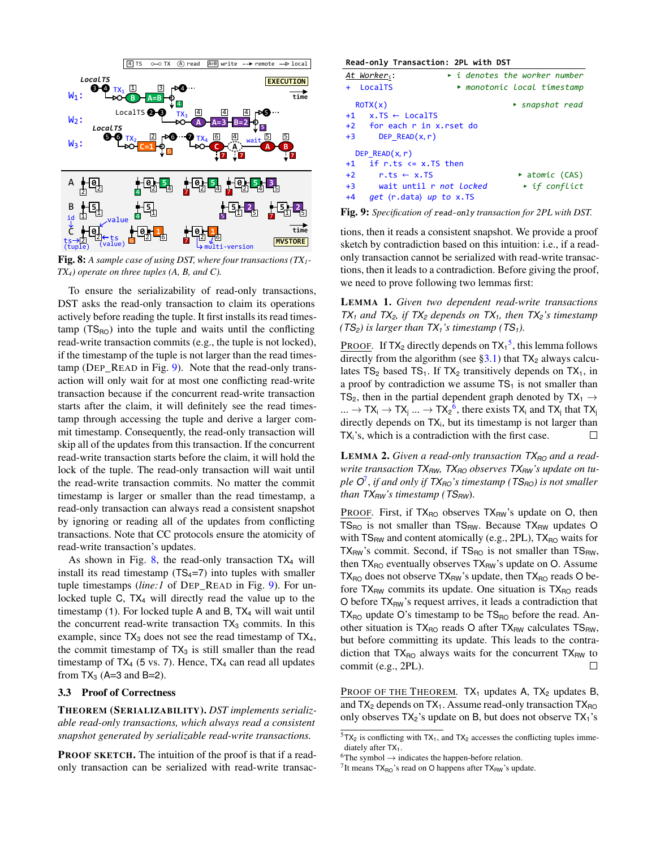<span id="page-6-1"></span>

Fig. 8: *A sample case of using DST, where four transactions (TX1- TX4) operate on three tuples (A, B, and C).*

To ensure the serializability of read-only transactions, DST asks the read-only transaction to claim its operations actively before reading the tuple. It first installs its read times $tamp$  (TS<sub>RO</sub>) into the tuple and waits until the conflicting read-write transaction commits (e.g., the tuple is not locked), if the timestamp of the tuple is not larger than the read timestamp (DEP\_READ in Fig. [9\)](#page-6-2). Note that the read-only transaction will only wait for at most one conflicting read-write transaction because if the concurrent read-write transaction starts after the claim, it will definitely see the read timestamp through accessing the tuple and derive a larger commit timestamp. Consequently, the read-only transaction will skip all of the updates from this transaction. If the concurrent read-write transaction starts before the claim, it will hold the lock of the tuple. The read-only transaction will wait until the read-write transaction commits. No matter the commit timestamp is larger or smaller than the read timestamp, a read-only transaction can always read a consistent snapshot by ignoring or reading all of the updates from conflicting transactions. Note that CC protocols ensure the atomicity of read-write transaction's updates.

As shown in Fig. [8,](#page-6-1) the read-only transaction  $TX_4$  will install its read timestamp  $(TS_4=7)$  into tuples with smaller tuple timestamps (*line:1* of DEP\_READ in Fig. [9\)](#page-6-2). For unlocked tuple C, TX<sub>4</sub> will directly read the value up to the timestamp (1). For locked tuple A and B, TX<sub>4</sub> will wait until the concurrent read-write transaction  $TX_3$  commits. In this example, since  $TX_3$  does not see the read timestamp of  $TX_4$ , the commit timestamp of  $TX_3$  is still smaller than the read timestamp of  $TX_4$  (5 vs. 7). Hence,  $TX_4$  can read all updates from  $TX_3$  (A=3 and B=2).

## <span id="page-6-0"></span>3.3 Proof of Correctness

THEOREM (SERIALIZABILITY). *DST implements serializable read-only transactions, which always read a consistent snapshot generated by serializable read-write transactions.*

PROOF SKETCH. The intuition of the proof is that if a readonly transaction can be serialized with read-write transac-

<span id="page-6-2"></span>

| Read-only Transaction: 2PL with DST    |                                                 |  |  |  |
|----------------------------------------|-------------------------------------------------|--|--|--|
| At Worker <sub>i</sub> :               | $\rightarrow$ i denotes the worker number       |  |  |  |
| + LocalTS                              | $\blacktriangleright$ monotonic local timestamp |  |  |  |
| ROTX(x)                                | $\triangleright$ snapshot read                  |  |  |  |
| $+1$ x. TS $\leftarrow$ LocalTS        |                                                 |  |  |  |
| +2 for each r in x.rset do             |                                                 |  |  |  |
| DEP $READ(x, r)$<br>$+3$               |                                                 |  |  |  |
| DEP $READ(x, r)$                       |                                                 |  |  |  |
| $+1$ if r.ts $\leq x$ . TS then        |                                                 |  |  |  |
| $+2$<br>$r.ts \leftarrow x.TS$         | $\blacktriangleright$ atomic (CAS)              |  |  |  |
| $+3$<br>wait until r not locked        | $\rightarrow$ if conflict                       |  |  |  |
| <i>get</i> (r.data) up to x.TS<br>$+4$ |                                                 |  |  |  |

Fig. 9: *Specification of* read-only *transaction for 2PL with DST.*

tions, then it reads a consistent snapshot. We provide a proof sketch by contradiction based on this intuition: i.e., if a readonly transaction cannot be serialized with read-write transactions, then it leads to a contradiction. Before giving the proof, we need to prove following two lemmas first:

LEMMA 1. *Given two dependent read-write transactions TX*<sub>1</sub> and *TX*<sub>2</sub>*,* if *TX*<sub>2</sub> *depends on TX*<sub>1</sub>*, then TX*<sub>2</sub>*'s timestamp (TS<sub>2</sub>) is larger than*  $TX_1$ *'s timestamp (TS<sub>1</sub>).* 

**PROOF.** If  $TX_2$  directly depends on  $TX_1^5$ , this lemma follows directly from the algorithm (see  $\S 3.1$ ) that  $TX_2$  always calculates  $TS_2$  based  $TS_1$ . If  $TX_2$  transitively depends on  $TX_1$ , in a proof by contradiction we assume  $TS<sub>1</sub>$  is not smaller than TS<sub>2</sub>, then in the partial dependent graph denoted by  $TX_1 \rightarrow$ ...  $\rightarrow$  TX<sub>i</sub>  $\rightarrow$  TX<sub>j</sub> ...  $\rightarrow$  TX<sub>2</sub><sup>6</sup>, there exists TX<sub>i</sub> and TX<sub>j</sub> that TX<sub>j</sub> directly depends on  $TX_i$ , but its timestamp is not larger than TXi's, which is a contradiction with the first case.  $\Box$ 

LEMMA 2. Given a read-only transaction  $TX_{RO}$  and a read*write transaction TXRW, TXRO observes TXRW's update on tuple O* 7 , *if and only if TXRO's timestamp (TSRO) is not smaller than TXRW's timestamp (TSRW*).

PROOF. First, if TX<sub>RO</sub> observes TX<sub>RW</sub>'s update on O, then  $TS_{RO}$  is not smaller than  $TS_{RW}$ . Because  $TX_{RW}$  updates O with  $TS_{RW}$  and content atomically (e.g., 2PL),  $TX_{RO}$  waits for  $TX_{RW}$ 's commit. Second, if  $TS_{RO}$  is not smaller than  $TS_{RW}$ , then  $TX_{RO}$  eventually observes  $TX_{RW}$ 's update on O. Assume  $TX_{RO}$  does not observe  $TX_{RW}$ 's update, then  $TX_{RO}$  reads O before  $TX_{RW}$  commits its update. One situation is  $TX_{RO}$  reads O before  $TX_{RW}$ 's request arrives, it leads a contradiction that  $TX_{RO}$  update O's timestamp to be  $TS_{RO}$  before the read. Another situation is  $TX_{RO}$  reads O after  $TX_{RW}$  calculates  $TS_{RW}$ , but before committing its update. This leads to the contradiction that  $TX_{RO}$  always waits for the concurrent  $TX_{RW}$  to commit (e.g., 2PL). П

PROOF OF THE THEOREM. TX<sub>1</sub> updates A, TX<sub>2</sub> updates B, and  $TX_2$  depends on  $TX_1$ . Assume read-only transaction  $TX_{RO}$ only observes  $TX_2$ 's update on B, but does not observe  $TX_1$ 's

 $5TX_2$  is conflicting with TX<sub>1</sub>, and TX<sub>2</sub> accesses the conflicting tuples immediately after  $TX_1$ .

 ${}^{6}$ The symbol  $\rightarrow$  indicates the happen-before relation.

<sup>&</sup>lt;sup>7</sup> It means  $TX_{RO}$ 's read on O happens after  $TX_{RW}$ 's update.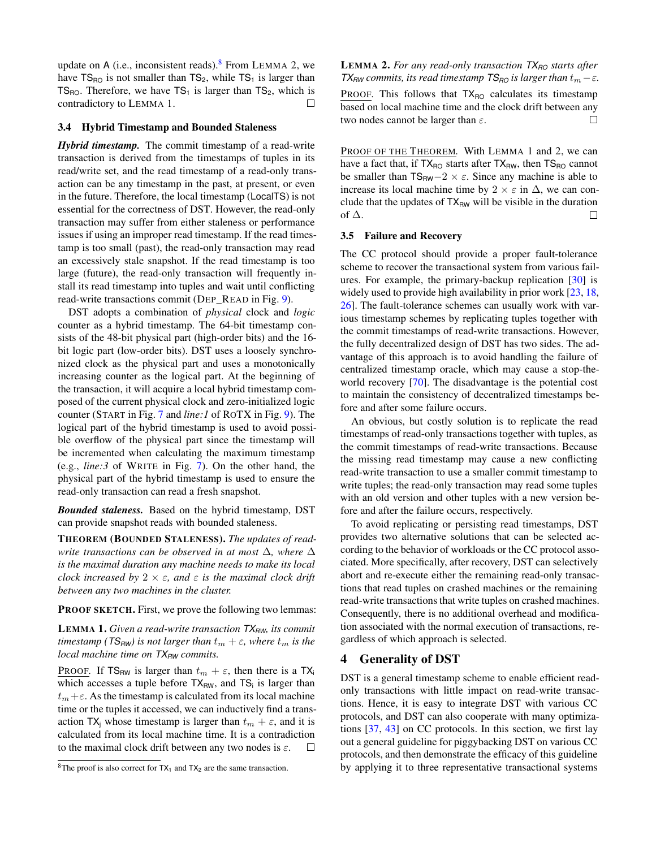update on A (i.e., inconsistent reads).  $8$  From LEMMA 2, we have  $TS_{RO}$  is not smaller than  $TS_2$ , while  $TS_1$  is larger than TS<sub>RO</sub>. Therefore, we have  $TS_1$  is larger than  $TS_2$ , which is contradictory to LEMMA 1.

### <span id="page-7-0"></span>3.4 Hybrid Timestamp and Bounded Staleness

*Hybrid timestamp.* The commit timestamp of a read-write transaction is derived from the timestamps of tuples in its read/write set, and the read timestamp of a read-only transaction can be any timestamp in the past, at present, or even in the future. Therefore, the local timestamp (LocalTS) is not essential for the correctness of DST. However, the read-only transaction may suffer from either staleness or performance issues if using an improper read timestamp. If the read timestamp is too small (past), the read-only transaction may read an excessively stale snapshot. If the read timestamp is too large (future), the read-only transaction will frequently install its read timestamp into tuples and wait until conflicting read-write transactions commit (DEP\_READ in Fig. [9\)](#page-6-2).

DST adopts a combination of *physical* clock and *logic* counter as a hybrid timestamp. The 64-bit timestamp consists of the 48-bit physical part (high-order bits) and the 16 bit logic part (low-order bits). DST uses a loosely synchronized clock as the physical part and uses a monotonically increasing counter as the logical part. At the beginning of the transaction, it will acquire a local hybrid timestamp composed of the current physical clock and zero-initialized logic counter (START in Fig. [7](#page-5-1) and *line:1* of ROTX in Fig. [9\)](#page-6-2). The logical part of the hybrid timestamp is used to avoid possible overflow of the physical part since the timestamp will be incremented when calculating the maximum timestamp (e.g., *line:3* of WRITE in Fig. [7\)](#page-5-1). On the other hand, the physical part of the hybrid timestamp is used to ensure the read-only transaction can read a fresh snapshot.

*Bounded staleness.* Based on the hybrid timestamp, DST can provide snapshot reads with bounded staleness.

THEOREM (BOUNDED STALENESS). *The updates of readwrite transactions can be observed in at most* ∆*, where* ∆ *is the maximal duration any machine needs to make its local clock increased by* 2 × ε*, and* ε *is the maximal clock drift between any two machines in the cluster.*

#### PROOF SKETCH. First, we prove the following two lemmas:

LEMMA 1. *Given a read-write transaction TXRW, its commit timestamp* ( $TS_{RW}$ *) is not larger than*  $t_m + \varepsilon$ *, where*  $t_m$  *is the local machine time on*  $TX_{RW}$  *commits.* 

PROOF. If  $TS_{RW}$  is larger than  $t_m + \varepsilon$ , then there is a TX<sub>i</sub> which accesses a tuple before  $TX_{RW}$ , and  $TS_i$  is larger than  $t_m + \varepsilon$ . As the timestamp is calculated from its local machine time or the tuples it accessed, we can inductively find a transaction TX<sub>j</sub> whose timestamp is larger than  $t_m + \varepsilon$ , and it is calculated from its local machine time. It is a contradiction to the maximal clock drift between any two nodes is  $\varepsilon$ .  $\Box$ 

## LEMMA 2. *For any read-only transaction TXRO starts after TX*<sub>*RW*</sub> *commits, its read timestamp TS*<sub>*RO*</sub> *is larger than*  $t_m - \varepsilon$ *.*

PROOF. This follows that TX<sub>RO</sub> calculates its timestamp based on local machine time and the clock drift between any two nodes cannot be larger than  $\varepsilon$ .  $\Box$ 

PROOF OF THE THEOREM. With LEMMA 1 and 2, we can have a fact that, if  $TX_{RO}$  starts after  $TX_{RW}$ , then  $TS_{RO}$  cannot be smaller than  $TS_{RW}-2 \times \varepsilon$ . Since any machine is able to increase its local machine time by  $2 \times \varepsilon$  in  $\Delta$ , we can conclude that the updates of  $TX_{RW}$  will be visible in the duration of  $\Delta$ .  $\Box$ 

### <span id="page-7-2"></span>3.5 Failure and Recovery

The CC protocol should provide a proper fault-tolerance scheme to recover the transactional system from various failures. For example, the primary-backup replication [\[30\]](#page-13-12) is widely used to provide high availability in prior work [\[23,](#page-13-10) [18,](#page-13-5) [26\]](#page-13-11). The fault-tolerance schemes can usually work with various timestamp schemes by replicating tuples together with the commit timestamps of read-write transactions. However, the fully decentralized design of DST has two sides. The advantage of this approach is to avoid handling the failure of centralized timestamp oracle, which may cause a stop-theworld recovery [\[70\]](#page-15-2). The disadvantage is the potential cost to maintain the consistency of decentralized timestamps before and after some failure occurs.

An obvious, but costly solution is to replicate the read timestamps of read-only transactions together with tuples, as the commit timestamps of read-write transactions. Because the missing read timestamp may cause a new conflicting read-write transaction to use a smaller commit timestamp to write tuples; the read-only transaction may read some tuples with an old version and other tuples with a new version before and after the failure occurs, respectively.

To avoid replicating or persisting read timestamps, DST provides two alternative solutions that can be selected according to the behavior of workloads or the CC protocol associated. More specifically, after recovery, DST can selectively abort and re-execute either the remaining read-only transactions that read tuples on crashed machines or the remaining read-write transactions that write tuples on crashed machines. Consequently, there is no additional overhead and modification associated with the normal execution of transactions, regardless of which approach is selected.

# <span id="page-7-1"></span>4 Generality of DST

DST is a general timestamp scheme to enable efficient readonly transactions with little impact on read-write transactions. Hence, it is easy to integrate DST with various CC protocols, and DST can also cooperate with many optimizations [\[37,](#page-14-4) [43\]](#page-14-3) on CC protocols. In this section, we first lay out a general guideline for piggybacking DST on various CC protocols, and then demonstrate the efficacy of this guideline by applying it to three representative transactional systems

<sup>&</sup>lt;sup>8</sup>The proof is also correct for  $TX_1$  and  $TX_2$  are the same transaction.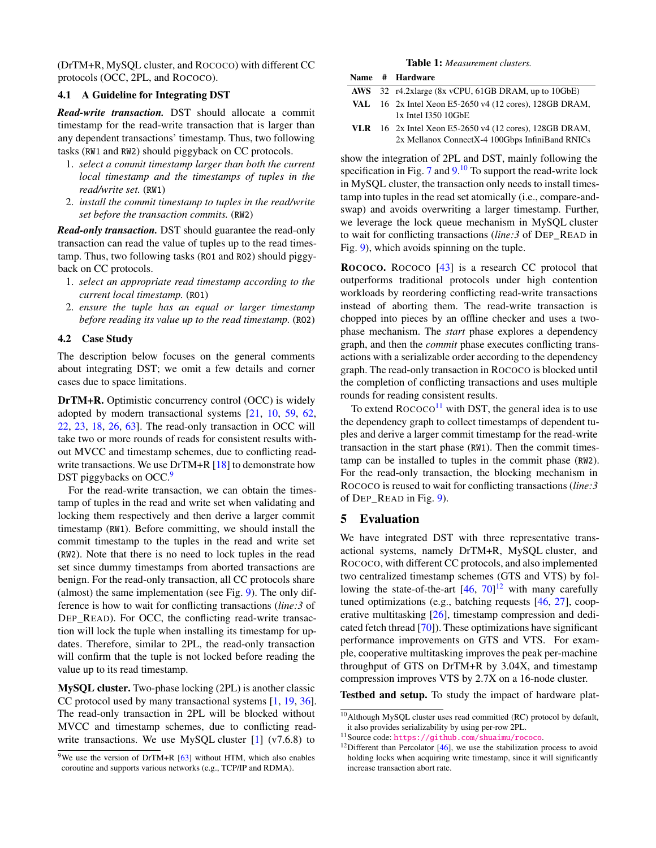(DrTM+R, MySQL cluster, and ROCOCO) with different CC protocols (OCC, 2PL, and ROCOCO).

## 4.1 A Guideline for Integrating DST

*Read-write transaction.* DST should allocate a commit timestamp for the read-write transaction that is larger than any dependent transactions' timestamp. Thus, two following tasks (RW1 and RW2) should piggyback on CC protocols.

- 1. *select a commit timestamp larger than both the current local timestamp and the timestamps of tuples in the read/write set.* (RW1)
- 2. *install the commit timestamp to tuples in the read/write set before the transaction commits.* (RW2)

*Read-only transaction.* DST should guarantee the read-only transaction can read the value of tuples up to the read timestamp. Thus, two following tasks (RO1 and RO2) should piggyback on CC protocols.

- 1. *select an appropriate read timestamp according to the current local timestamp.* (RO1)
- 2. *ensure the tuple has an equal or larger timestamp before reading its value up to the read timestamp.* (RO2)

#### <span id="page-8-1"></span>4.2 Case Study

The description below focuses on the general comments about integrating DST; we omit a few details and corner cases due to space limitations.

DrTM+R. Optimistic concurrency control (OCC) is widely adopted by modern transactional systems [\[21,](#page-13-3) [10,](#page-12-7) [59,](#page-15-5) [62,](#page-15-11) [22,](#page-13-13) [23,](#page-13-10) [18,](#page-13-5) [26,](#page-13-11) [63\]](#page-15-12). The read-only transaction in OCC will take two or more rounds of reads for consistent results without MVCC and timestamp schemes, due to conflicting read-write transactions. We use DrTM+R [\[18\]](#page-13-5) to demonstrate how DST piggybacks on OCC.<sup>9</sup>

For the read-write transaction, we can obtain the timestamp of tuples in the read and write set when validating and locking them respectively and then derive a larger commit timestamp (RW1). Before committing, we should install the commit timestamp to the tuples in the read and write set (RW2). Note that there is no need to lock tuples in the read set since dummy timestamps from aborted transactions are benign. For the read-only transaction, all CC protocols share (almost) the same implementation (see Fig. [9\)](#page-6-2). The only difference is how to wait for conflicting transactions (*line:3* of DEP\_READ). For OCC, the conflicting read-write transaction will lock the tuple when installing its timestamp for updates. Therefore, similar to 2PL, the read-only transaction will confirm that the tuple is not locked before reading the value up to its read timestamp.

MySQL cluster. Two-phase locking (2PL) is another classic CC protocol used by many transactional systems [\[1,](#page-12-4) [19,](#page-13-14) [36\]](#page-14-6). The read-only transaction in 2PL will be blocked without MVCC and timestamp schemes, due to conflicting readwrite transactions. We use MySQL cluster  $[1]$  (v7.6.8) to

#### Table 1: *Measurement clusters.*

<span id="page-8-2"></span>

|  | Name # Hardware                                                                                              |
|--|--------------------------------------------------------------------------------------------------------------|
|  | AWS $32 \text{ r4.2x}$ large (8x vCPU, 61GB DRAM, up to 10GbE)                                               |
|  | VAL $16$ 2x Intel Xeon E5-2650 v4 (12 cores), 128GB DRAM,<br>1x Intel I350 10GbE                             |
|  | VLR $16$ 2x Intel Xeon E5-2650 v4 (12 cores), 128GB DRAM,<br>2x Mellanox ConnectX-4 100Gbps InfiniBand RNICs |

show the integration of 2PL and DST, mainly following the specification in Fig. [7](#page-5-1) and  $9<sup>10</sup>$  To support the read-write lock in MySQL cluster, the transaction only needs to install timestamp into tuples in the read set atomically (i.e., compare-andswap) and avoids overwriting a larger timestamp. Further, we leverage the lock queue mechanism in MySQL cluster to wait for conflicting transactions (*line:3* of DEP\_READ in Fig. [9\)](#page-6-2), which avoids spinning on the tuple.

ROCOCO. ROCOCO [\[43\]](#page-14-3) is a research CC protocol that outperforms traditional protocols under high contention workloads by reordering conflicting read-write transactions instead of aborting them. The read-write transaction is chopped into pieces by an offline checker and uses a twophase mechanism. The *start* phase explores a dependency graph, and then the *commit* phase executes conflicting transactions with a serializable order according to the dependency graph. The read-only transaction in ROCOCO is blocked until the completion of conflicting transactions and uses multiple rounds for reading consistent results.

To extend  $\text{ROCOCO}^{11}$  with DST, the general idea is to use the dependency graph to collect timestamps of dependent tuples and derive a larger commit timestamp for the read-write transaction in the start phase (RW1). Then the commit timestamp can be installed to tuples in the commit phase (RW2). For the read-only transaction, the blocking mechanism in ROCOCO is reused to wait for conflicting transactions (*line:3* of DEP\_READ in Fig. [9\)](#page-6-2).

# <span id="page-8-0"></span>5 Evaluation

We have integrated DST with three representative transactional systems, namely DrTM+R, MySQL cluster, and ROCOCO, with different CC protocols, and also implemented two centralized timestamp schemes (GTS and VTS) by following the state-of-the-art  $[46, 70]^{12}$  $[46, 70]^{12}$  $[46, 70]^{12}$  with many carefully tuned optimizations (e.g., batching requests [\[46,](#page-14-2) [27\]](#page-13-6), cooperative multitasking [\[26\]](#page-13-11), timestamp compression and dedicated fetch thread [\[70\]](#page-15-2)). These optimizations have significant performance improvements on GTS and VTS. For example, cooperative multitasking improves the peak per-machine throughput of GTS on DrTM+R by 3.04X, and timestamp compression improves VTS by 2.7X on a 16-node cluster.

Testbed and setup. To study the impact of hardware plat-

<sup>&</sup>lt;sup>9</sup>We use the version of DrTM+R  $[63]$  without HTM, which also enables coroutine and supports various networks (e.g., TCP/IP and RDMA).

<sup>&</sup>lt;sup>10</sup>Although MySQL cluster uses read committed (RC) protocol by default, it also provides serializability by using per-row 2PL.

<sup>11</sup>Source code: <https://github.com/shuaimu/rococo>.

 $12$ Different than Percolator [\[46\]](#page-14-2), we use the stabilization process to avoid holding locks when acquiring write timestamp, since it will significantly increase transaction abort rate.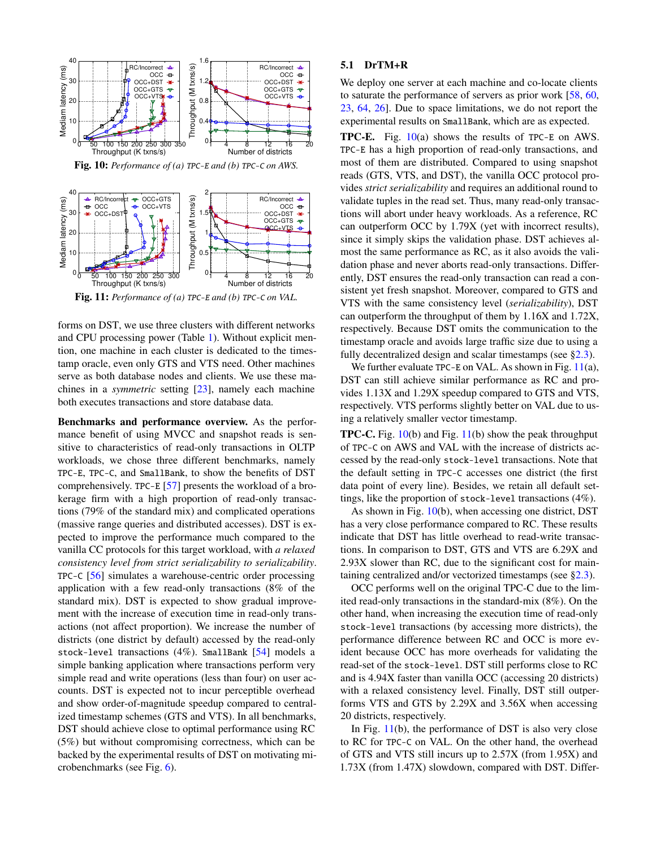<span id="page-9-1"></span>

<span id="page-9-2"></span>Fig. 11: *Performance of (a)* TPC-E *and (b)* TPC-C *on VAL.*

forms on DST, we use three clusters with different networks and CPU processing power (Table [1\)](#page-8-2). Without explicit mention, one machine in each cluster is dedicated to the timestamp oracle, even only GTS and VTS need. Other machines serve as both database nodes and clients. We use these machines in a *symmetric* setting [\[23\]](#page-13-10), namely each machine both executes transactions and store database data.

Benchmarks and performance overview. As the performance benefit of using MVCC and snapshot reads is sensitive to characteristics of read-only transactions in OLTP workloads, we chose three different benchmarks, namely TPC-E, TPC-C, and SmallBank, to show the benefits of DST comprehensively. TPC-E [\[57\]](#page-15-0) presents the workload of a brokerage firm with a high proportion of read-only transactions (79% of the standard mix) and complicated operations (massive range queries and distributed accesses). DST is expected to improve the performance much compared to the vanilla CC protocols for this target workload, with *a relaxed consistency level from strict serializability to serializability*. TPC-C [\[56\]](#page-15-8) simulates a warehouse-centric order processing application with a few read-only transactions (8% of the standard mix). DST is expected to show gradual improvement with the increase of execution time in read-only transactions (not affect proportion). We increase the number of districts (one district by default) accessed by the read-only stock-level transactions (4%). SmallBank [\[54\]](#page-15-9) models a simple banking application where transactions perform very simple read and write operations (less than four) on user accounts. DST is expected not to incur perceptible overhead and show order-of-magnitude speedup compared to centralized timestamp schemes (GTS and VTS). In all benchmarks, DST should achieve close to optimal performance using RC (5%) but without compromising correctness, which can be backed by the experimental results of DST on motivating microbenchmarks (see Fig. [6\)](#page-4-1).

### 5.1 DrTM+R

We deploy one server at each machine and co-locate clients to saturate the performance of servers as prior work [\[58,](#page-15-13) [60,](#page-15-14) [23,](#page-13-10) [64,](#page-15-7) [26\]](#page-13-11). Due to space limitations, we do not report the experimental results on SmallBank, which are as expected.

**TPC-E.** Fig.  $10(a)$  $10(a)$  shows the results of TPC-E on AWS. TPC-E has a high proportion of read-only transactions, and most of them are distributed. Compared to using snapshot reads (GTS, VTS, and DST), the vanilla OCC protocol provides *strict serializability* and requires an additional round to validate tuples in the read set. Thus, many read-only transactions will abort under heavy workloads. As a reference, RC can outperform OCC by 1.79X (yet with incorrect results), since it simply skips the validation phase. DST achieves almost the same performance as RC, as it also avoids the validation phase and never aborts read-only transactions. Differently, DST ensures the read-only transaction can read a consistent yet fresh snapshot. Moreover, compared to GTS and VTS with the same consistency level (*serializability*), DST can outperform the throughput of them by 1.16X and 1.72X, respectively. Because DST omits the communication to the timestamp oracle and avoids large traffic size due to using a fully decentralized design and scalar timestamps (see [§2.3\)](#page-3-0).

We further evaluate TPC-E on VAL. As shown in Fig.  $11(a)$  $11(a)$ , DST can still achieve similar performance as RC and provides 1.13X and 1.29X speedup compared to GTS and VTS, respectively. VTS performs slightly better on VAL due to using a relatively smaller vector timestamp.

TPC-C. Fig. [10\(](#page-9-1)b) and Fig. [11\(](#page-9-2)b) show the peak throughput of TPC-C on AWS and VAL with the increase of districts accessed by the read-only stock-level transactions. Note that the default setting in TPC-C accesses one district (the first data point of every line). Besides, we retain all default settings, like the proportion of stock-level transactions (4%).

As shown in Fig. [10\(](#page-9-1)b), when accessing one district, DST has a very close performance compared to RC. These results indicate that DST has little overhead to read-write transactions. In comparison to DST, GTS and VTS are 6.29X and 2.93X slower than RC, due to the significant cost for maintaining centralized and/or vectorized timestamps (see [§2.3\)](#page-3-0).

OCC performs well on the original TPC-C due to the limited read-only transactions in the standard-mix (8%). On the other hand, when increasing the execution time of read-only stock-level transactions (by accessing more districts), the performance difference between RC and OCC is more evident because OCC has more overheads for validating the read-set of the stock-level. DST still performs close to RC and is 4.94X faster than vanilla OCC (accessing 20 districts) with a relaxed consistency level. Finally, DST still outperforms VTS and GTS by 2.29X and 3.56X when accessing 20 districts, respectively.

<span id="page-9-0"></span>In Fig.  $11(b)$  $11(b)$ , the performance of DST is also very close to RC for TPC-C on VAL. On the other hand, the overhead of GTS and VTS still incurs up to 2.57X (from 1.95X) and 1.73X (from 1.47X) slowdown, compared with DST. Differ-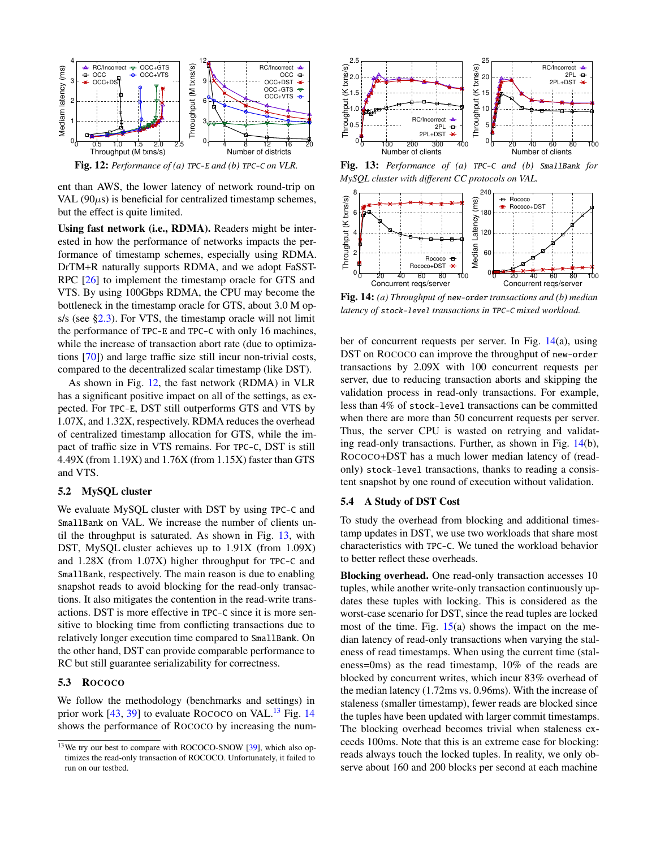<span id="page-10-0"></span>

ent than AWS, the lower latency of network round-trip on VAL  $(90\mu s)$  is beneficial for centralized timestamp schemes, but the effect is quite limited.

Using fast network (i.e., RDMA). Readers might be interested in how the performance of networks impacts the performance of timestamp schemes, especially using RDMA. DrTM+R naturally supports RDMA, and we adopt FaSST-RPC [\[26\]](#page-13-11) to implement the timestamp oracle for GTS and VTS. By using 100Gbps RDMA, the CPU may become the bottleneck in the timestamp oracle for GTS, about 3.0 M ops/s (see [§2.3\)](#page-3-0). For VTS, the timestamp oracle will not limit the performance of TPC-E and TPC-C with only 16 machines, while the increase of transaction abort rate (due to optimizations [\[70\]](#page-15-2)) and large traffic size still incur non-trivial costs, compared to the decentralized scalar timestamp (like DST).

As shown in Fig. [12,](#page-10-0) the fast network (RDMA) in VLR has a significant positive impact on all of the settings, as expected. For TPC-E, DST still outperforms GTS and VTS by 1.07X, and 1.32X, respectively. RDMA reduces the overhead of centralized timestamp allocation for GTS, while the impact of traffic size in VTS remains. For TPC-C, DST is still 4.49X (from 1.19X) and 1.76X (from 1.15X) faster than GTS and VTS.

### 5.2 MySQL cluster

We evaluate MySQL cluster with DST by using TPC-C and SmallBank on VAL. We increase the number of clients until the throughput is saturated. As shown in Fig. [13,](#page-10-1) with DST, MySQL cluster achieves up to 1.91X (from 1.09X) and 1.28X (from 1.07X) higher throughput for TPC-C and SmallBank, respectively. The main reason is due to enabling snapshot reads to avoid blocking for the read-only transactions. It also mitigates the contention in the read-write transactions. DST is more effective in TPC-C since it is more sensitive to blocking time from conflicting transactions due to relatively longer execution time compared to SmallBank. On the other hand, DST can provide comparable performance to RC but still guarantee serializability for correctness.

### 5.3 ROCOCO

We follow the methodology (benchmarks and settings) in prior work  $[43, 39]$  $[43, 39]$  to evaluate ROCOCO on VAL.<sup>13</sup> Fig. [14](#page-10-2) shows the performance of ROCOCO by increasing the num-

<span id="page-10-1"></span>

<span id="page-10-2"></span>Fig. 13: *Performance of (a)* TPC-C *and (b)* SmallBank *for MySQL cluster with different CC protocols on VAL.*



Fig. 14: *(a) Throughput of* new-order *transactions and (b) median latency of* stock-level *transactions in* TPC-C *mixed workload.*

ber of concurrent requests per server. In Fig. [14\(](#page-10-2)a), using DST on ROCOCO can improve the throughput of new-order transactions by 2.09X with 100 concurrent requests per server, due to reducing transaction aborts and skipping the validation process in read-only transactions. For example, less than 4% of stock-level transactions can be committed when there are more than 50 concurrent requests per server. Thus, the server CPU is wasted on retrying and validating read-only transactions. Further, as shown in Fig. [14\(](#page-10-2)b), ROCOCO+DST has a much lower median latency of (readonly) stock-level transactions, thanks to reading a consistent snapshot by one round of execution without validation.

### <span id="page-10-3"></span>5.4 A Study of DST Cost

To study the overhead from blocking and additional timestamp updates in DST, we use two workloads that share most characteristics with TPC-C. We tuned the workload behavior to better reflect these overheads.

Blocking overhead. One read-only transaction accesses 10 tuples, while another write-only transaction continuously updates these tuples with locking. This is considered as the worst-case scenario for DST, since the read tuples are locked most of the time. Fig.  $15(a)$  $15(a)$  shows the impact on the median latency of read-only transactions when varying the staleness of read timestamps. When using the current time (staleness=0ms) as the read timestamp, 10% of the reads are blocked by concurrent writes, which incur 83% overhead of the median latency (1.72ms vs. 0.96ms). With the increase of staleness (smaller timestamp), fewer reads are blocked since the tuples have been updated with larger commit timestamps. The blocking overhead becomes trivial when staleness exceeds 100ms. Note that this is an extreme case for blocking: reads always touch the locked tuples. In reality, we only observe about 160 and 200 blocks per second at each machine

<sup>&</sup>lt;sup>13</sup>We try our best to compare with ROCOCO-SNOW [\[39\]](#page-14-0), which also optimizes the read-only transaction of ROCOCO. Unfortunately, it failed to run on our testbed.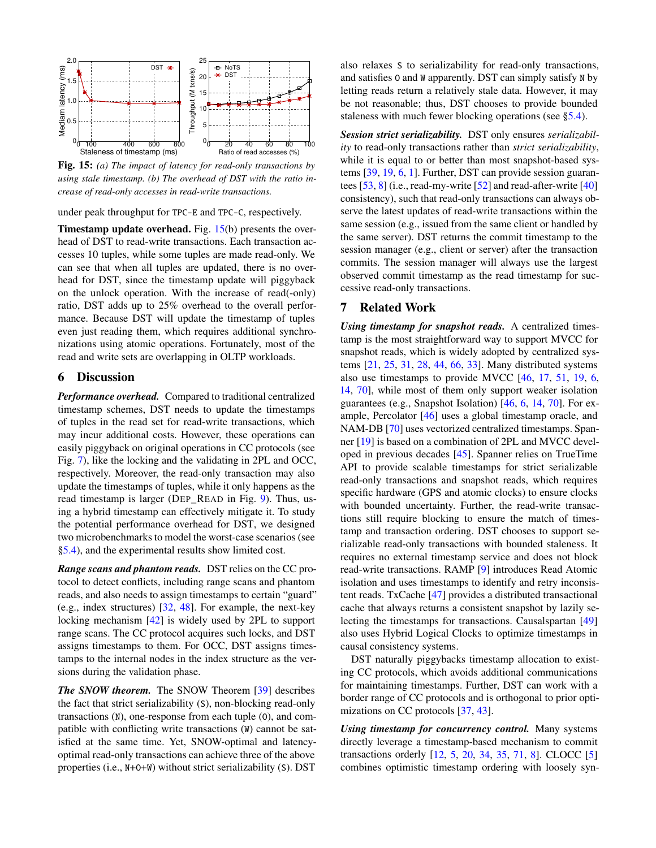<span id="page-11-0"></span>

Fig. 15: *(a) The impact of latency for read-only transactions by using stale timestamp. (b) The overhead of DST with the ratio increase of read-only accesses in read-write transactions.*

under peak throughput for TPC-E and TPC-C, respectively.

**Timestamp update overhead.** Fig.  $15(b)$  $15(b)$  presents the overhead of DST to read-write transactions. Each transaction accesses 10 tuples, while some tuples are made read-only. We can see that when all tuples are updated, there is no overhead for DST, since the timestamp update will piggyback on the unlock operation. With the increase of read(-only) ratio, DST adds up to 25% overhead to the overall performance. Because DST will update the timestamp of tuples even just reading them, which requires additional synchronizations using atomic operations. Fortunately, most of the read and write sets are overlapping in OLTP workloads.

# 6 Discussion

*Performance overhead.* Compared to traditional centralized timestamp schemes, DST needs to update the timestamps of tuples in the read set for read-write transactions, which may incur additional costs. However, these operations can easily piggyback on original operations in CC protocols (see Fig. [7\)](#page-5-1), like the locking and the validating in 2PL and OCC, respectively. Moreover, the read-only transaction may also update the timestamps of tuples, while it only happens as the read timestamp is larger (DEP\_READ in Fig. [9\)](#page-6-2). Thus, using a hybrid timestamp can effectively mitigate it. To study the potential performance overhead for DST, we designed two microbenchmarks to model the worst-case scenarios (see [§5.4\)](#page-10-3), and the experimental results show limited cost.

*Range scans and phantom reads.* DST relies on the CC protocol to detect conflicts, including range scans and phantom reads, and also needs to assign timestamps to certain "guard" (e.g., index structures) [\[32,](#page-13-15) [48\]](#page-14-7). For example, the next-key locking mechanism [\[42\]](#page-14-8) is widely used by 2PL to support range scans. The CC protocol acquires such locks, and DST assigns timestamps to them. For OCC, DST assigns timestamps to the internal nodes in the index structure as the versions during the validation phase.

*The SNOW theorem.* The SNOW Theorem [\[39\]](#page-14-0) describes the fact that strict serializability (S), non-blocking read-only transactions (N), one-response from each tuple (O), and compatible with conflicting write transactions (W) cannot be satisfied at the same time. Yet, SNOW-optimal and latencyoptimal read-only transactions can achieve three of the above properties (i.e., N+O+W) without strict serializability (S). DST

also relaxes S to serializability for read-only transactions, and satisfies O and W apparently. DST can simply satisfy N by letting reads return a relatively stale data. However, it may be not reasonable; thus, DST chooses to provide bounded staleness with much fewer blocking operations (see [§5.4\)](#page-10-3).

*Session strict serializability.* DST only ensures *serializability* to read-only transactions rather than *strict serializability*, while it is equal to or better than most snapshot-based systems [\[39,](#page-14-0) [19,](#page-13-14) [6,](#page-12-8) [1\]](#page-12-4). Further, DST can provide session guarantees  $[53, 8]$  $[53, 8]$  $[53, 8]$  (i.e., read-my-write  $[52]$  and read-after-write  $[40]$ consistency), such that read-only transactions can always observe the latest updates of read-write transactions within the same session (e.g., issued from the same client or handled by the same server). DST returns the commit timestamp to the session manager (e.g., client or server) after the transaction commits. The session manager will always use the largest observed commit timestamp as the read timestamp for successive read-only transactions.

# 7 Related Work

*Using timestamp for snapshot reads.* A centralized timestamp is the most straightforward way to support MVCC for snapshot reads, which is widely adopted by centralized systems [\[21,](#page-13-3) [25,](#page-13-9) [31,](#page-13-8) [28,](#page-13-16) [44,](#page-14-12) [66,](#page-15-15) [33\]](#page-14-13). Many distributed systems also use timestamps to provide MVCC [\[46,](#page-14-2) [17,](#page-13-17) [51,](#page-14-14) [19,](#page-13-14) [6,](#page-12-8) [14,](#page-13-4) [70\]](#page-15-2), while most of them only support weaker isolation guarantees (e.g., Snapshot Isolation) [\[46,](#page-14-2) [6,](#page-12-8) [14,](#page-13-4) [70\]](#page-15-2). For example, Percolator [\[46\]](#page-14-2) uses a global timestamp oracle, and NAM-DB [\[70\]](#page-15-2) uses vectorized centralized timestamps. Spanner [\[19\]](#page-13-14) is based on a combination of 2PL and MVCC developed in previous decades [\[45\]](#page-14-5). Spanner relies on TrueTime API to provide scalable timestamps for strict serializable read-only transactions and snapshot reads, which requires specific hardware (GPS and atomic clocks) to ensure clocks with bounded uncertainty. Further, the read-write transactions still require blocking to ensure the match of timestamp and transaction ordering. DST chooses to support serializable read-only transactions with bounded staleness. It requires no external timestamp service and does not block read-write transactions. RAMP [\[9\]](#page-12-9) introduces Read Atomic isolation and uses timestamps to identify and retry inconsistent reads. TxCache [\[47\]](#page-14-15) provides a distributed transactional cache that always returns a consistent snapshot by lazily selecting the timestamps for transactions. Causalspartan [\[49\]](#page-14-16) also uses Hybrid Logical Clocks to optimize timestamps in causal consistency systems.

DST naturally piggybacks timestamp allocation to existing CC protocols, which avoids additional communications for maintaining timestamps. Further, DST can work with a border range of CC protocols and is orthogonal to prior optimizations on CC protocols [\[37,](#page-14-4) [43\]](#page-14-3).

*Using timestamp for concurrency control.* Many systems directly leverage a timestamp-based mechanism to commit transactions orderly [\[12,](#page-13-18) [5,](#page-12-10) [20,](#page-13-19) [34,](#page-14-17) [35,](#page-14-18) [71,](#page-15-16) [8\]](#page-12-5). CLOCC [\[5\]](#page-12-10) combines optimistic timestamp ordering with loosely syn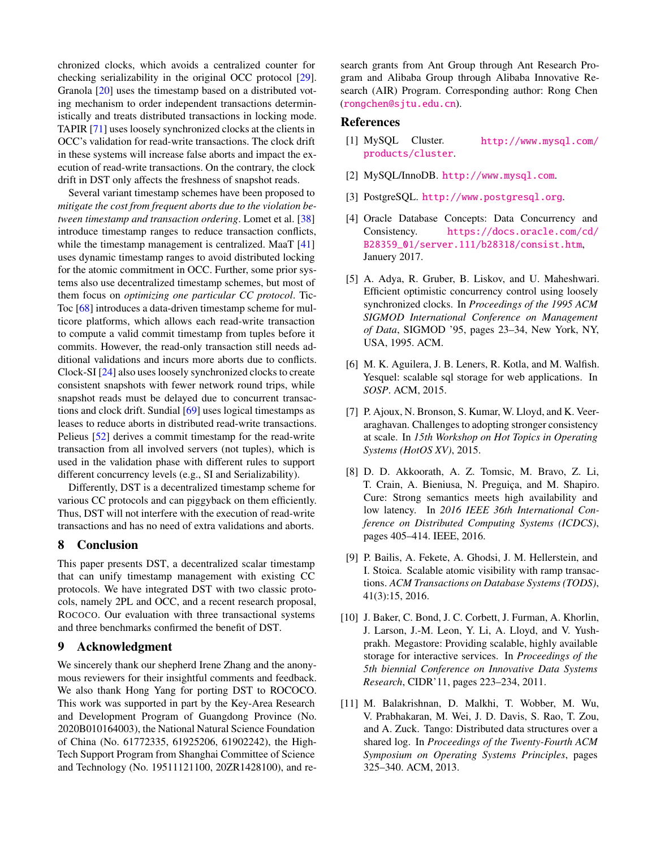chronized clocks, which avoids a centralized counter for checking serializability in the original OCC protocol [\[29\]](#page-13-1). Granola [\[20\]](#page-13-19) uses the timestamp based on a distributed voting mechanism to order independent transactions deterministically and treats distributed transactions in locking mode. TAPIR [\[71\]](#page-15-16) uses loosely synchronized clocks at the clients in OCC's validation for read-write transactions. The clock drift in these systems will increase false aborts and impact the execution of read-write transactions. On the contrary, the clock drift in DST only affects the freshness of snapshot reads.

Several variant timestamp schemes have been proposed to *mitigate the cost from frequent aborts due to the violation between timestamp and transaction ordering*. Lomet et al. [\[38\]](#page-14-19) introduce timestamp ranges to reduce transaction conflicts, while the timestamp management is centralized. MaaT [\[41\]](#page-14-20) uses dynamic timestamp ranges to avoid distributed locking for the atomic commitment in OCC. Further, some prior systems also use decentralized timestamp schemes, but most of them focus on *optimizing one particular CC protocol*. Tic-Toc [\[68\]](#page-15-3) introduces a data-driven timestamp scheme for multicore platforms, which allows each read-write transaction to compute a valid commit timestamp from tuples before it commits. However, the read-only transaction still needs additional validations and incurs more aborts due to conflicts. Clock-SI [\[24\]](#page-13-20) also uses loosely synchronized clocks to create consistent snapshots with fewer network round trips, while snapshot reads must be delayed due to concurrent transactions and clock drift. Sundial [\[69\]](#page-15-17) uses logical timestamps as leases to reduce aborts in distributed read-write transactions. Pelieus [\[52\]](#page-14-10) derives a commit timestamp for the read-write transaction from all involved servers (not tuples), which is used in the validation phase with different rules to support different concurrency levels (e.g., SI and Serializability).

Differently, DST is a decentralized timestamp scheme for various CC protocols and can piggyback on them efficiently. Thus, DST will not interfere with the execution of read-write transactions and has no need of extra validations and aborts.

# 8 Conclusion

This paper presents DST, a decentralized scalar timestamp that can unify timestamp management with existing CC protocols. We have integrated DST with two classic protocols, namely 2PL and OCC, and a recent research proposal, ROCOCO. Our evaluation with three transactional systems and three benchmarks confirmed the benefit of DST.

# 9 Acknowledgment

We sincerely thank our shepherd Irene Zhang and the anonymous reviewers for their insightful comments and feedback. We also thank Hong Yang for porting DST to ROCOCO. This work was supported in part by the Key-Area Research and Development Program of Guangdong Province (No. 2020B010164003), the National Natural Science Foundation of China (No. 61772335, 61925206, 61902242), the High-Tech Support Program from Shanghai Committee of Science and Technology (No. 19511121100, 20ZR1428100), and research grants from Ant Group through Ant Research Program and Alibaba Group through Alibaba Innovative Research (AIR) Program. Corresponding author: Rong Chen (<rongchen@sjtu.edu.cn>).

# <span id="page-12-4"></span>References

- <span id="page-12-3"></span>[1] MySQL Cluster. [http://www.mysql.com/](http://www.mysql.com/products/cluster) [products/cluster](http://www.mysql.com/products/cluster).
- <span id="page-12-1"></span>[2] MySQL/InnoDB. <http://www.mysql.com>.
- <span id="page-12-2"></span>[3] PostgreSQL. <http://www.postgresql.org>.
- [4] Oracle Database Concepts: Data Concurrency and Consistency. [https://docs.oracle.com/cd/](https://docs.oracle.com/cd/B28359_01/server.111/b28318/consist.htm) [B28359\\_01/server.111/b28318/consist.htm](https://docs.oracle.com/cd/B28359_01/server.111/b28318/consist.htm), Januery 2017.
- <span id="page-12-10"></span>[5] A. Adya, R. Gruber, B. Liskov, and U. Maheshwari. Efficient optimistic concurrency control using loosely synchronized clocks. In *Proceedings of the 1995 ACM SIGMOD International Conference on Management of Data*, SIGMOD '95, pages 23–34, New York, NY, USA, 1995. ACM.
- <span id="page-12-8"></span>[6] M. K. Aguilera, J. B. Leners, R. Kotla, and M. Walfish. Yesquel: scalable sql storage for web applications. In *SOSP*. ACM, 2015.
- <span id="page-12-0"></span>[7] P. Ajoux, N. Bronson, S. Kumar, W. Lloyd, and K. Veeraraghavan. Challenges to adopting stronger consistency at scale. In *15th Workshop on Hot Topics in Operating Systems (HotOS XV)*, 2015.
- <span id="page-12-5"></span>[8] D. D. Akkoorath, A. Z. Tomsic, M. Bravo, Z. Li, T. Crain, A. Bieniusa, N. Preguiça, and M. Shapiro. Cure: Strong semantics meets high availability and low latency. In *2016 IEEE 36th International Conference on Distributed Computing Systems (ICDCS)*, pages 405–414. IEEE, 2016.
- <span id="page-12-9"></span>[9] P. Bailis, A. Fekete, A. Ghodsi, J. M. Hellerstein, and I. Stoica. Scalable atomic visibility with ramp transactions. *ACM Transactions on Database Systems (TODS)*, 41(3):15, 2016.
- <span id="page-12-7"></span>[10] J. Baker, C. Bond, J. C. Corbett, J. Furman, A. Khorlin, J. Larson, J.-M. Leon, Y. Li, A. Lloyd, and V. Yushprakh. Megastore: Providing scalable, highly available storage for interactive services. In *Proceedings of the 5th biennial Conference on Innovative Data Systems Research*, CIDR'11, pages 223–234, 2011.
- <span id="page-12-6"></span>[11] M. Balakrishnan, D. Malkhi, T. Wobber, M. Wu, V. Prabhakaran, M. Wei, J. D. Davis, S. Rao, T. Zou, and A. Zuck. Tango: Distributed data structures over a shared log. In *Proceedings of the Twenty-Fourth ACM Symposium on Operating Systems Principles*, pages 325–340. ACM, 2013.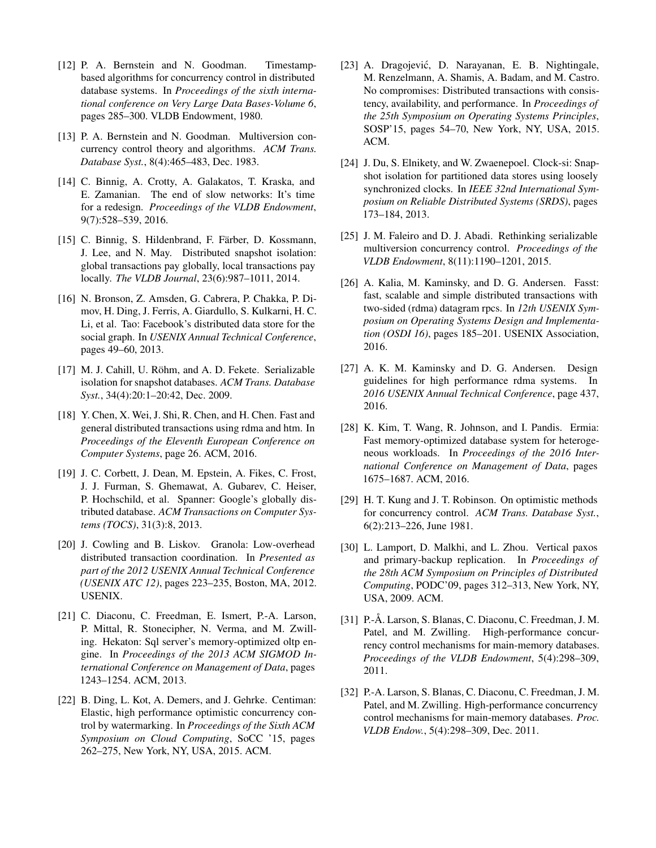- <span id="page-13-18"></span>[12] P. A. Bernstein and N. Goodman. Timestampbased algorithms for concurrency control in distributed database systems. In *Proceedings of the sixth international conference on Very Large Data Bases-Volume 6*, pages 285–300. VLDB Endowment, 1980.
- <span id="page-13-2"></span>[13] P. A. Bernstein and N. Goodman. Multiversion concurrency control theory and algorithms. *ACM Trans. Database Syst.*, 8(4):465–483, Dec. 1983.
- <span id="page-13-4"></span>[14] C. Binnig, A. Crotty, A. Galakatos, T. Kraska, and E. Zamanian. The end of slow networks: It's time for a redesign. *Proceedings of the VLDB Endowment*, 9(7):528–539, 2016.
- <span id="page-13-7"></span>[15] C. Binnig, S. Hildenbrand, F. Färber, D. Kossmann, J. Lee, and N. May. Distributed snapshot isolation: global transactions pay globally, local transactions pay locally. *The VLDB Journal*, 23(6):987–1011, 2014.
- <span id="page-13-0"></span>[16] N. Bronson, Z. Amsden, G. Cabrera, P. Chakka, P. Dimov, H. Ding, J. Ferris, A. Giardullo, S. Kulkarni, H. C. Li, et al. Tao: Facebook's distributed data store for the social graph. In *USENIX Annual Technical Conference*, pages 49–60, 2013.
- <span id="page-13-17"></span>[17] M. J. Cahill, U. Röhm, and A. D. Fekete. Serializable isolation for snapshot databases. *ACM Trans. Database Syst.*, 34(4):20:1–20:42, Dec. 2009.
- <span id="page-13-5"></span>[18] Y. Chen, X. Wei, J. Shi, R. Chen, and H. Chen. Fast and general distributed transactions using rdma and htm. In *Proceedings of the Eleventh European Conference on Computer Systems*, page 26. ACM, 2016.
- <span id="page-13-14"></span>[19] J. C. Corbett, J. Dean, M. Epstein, A. Fikes, C. Frost, J. J. Furman, S. Ghemawat, A. Gubarev, C. Heiser, P. Hochschild, et al. Spanner: Google's globally distributed database. *ACM Transactions on Computer Systems (TOCS)*, 31(3):8, 2013.
- <span id="page-13-19"></span>[20] J. Cowling and B. Liskov. Granola: Low-overhead distributed transaction coordination. In *Presented as part of the 2012 USENIX Annual Technical Conference (USENIX ATC 12)*, pages 223–235, Boston, MA, 2012. USENIX.
- <span id="page-13-3"></span>[21] C. Diaconu, C. Freedman, E. Ismert, P.-A. Larson, P. Mittal, R. Stonecipher, N. Verma, and M. Zwilling. Hekaton: Sql server's memory-optimized oltp engine. In *Proceedings of the 2013 ACM SIGMOD International Conference on Management of Data*, pages 1243–1254. ACM, 2013.
- <span id="page-13-13"></span>[22] B. Ding, L. Kot, A. Demers, and J. Gehrke. Centiman: Elastic, high performance optimistic concurrency control by watermarking. In *Proceedings of the Sixth ACM Symposium on Cloud Computing*, SoCC '15, pages 262–275, New York, NY, USA, 2015. ACM.
- <span id="page-13-10"></span>[23] A. Dragojević, D. Narayanan, E. B. Nightingale, M. Renzelmann, A. Shamis, A. Badam, and M. Castro. No compromises: Distributed transactions with consistency, availability, and performance. In *Proceedings of the 25th Symposium on Operating Systems Principles*, SOSP'15, pages 54–70, New York, NY, USA, 2015. ACM.
- <span id="page-13-20"></span>[24] J. Du, S. Elnikety, and W. Zwaenepoel. Clock-si: Snapshot isolation for partitioned data stores using loosely synchronized clocks. In *IEEE 32nd International Symposium on Reliable Distributed Systems (SRDS)*, pages 173–184, 2013.
- <span id="page-13-9"></span>[25] J. M. Faleiro and D. J. Abadi. Rethinking serializable multiversion concurrency control. *Proceedings of the VLDB Endowment*, 8(11):1190–1201, 2015.
- <span id="page-13-11"></span>[26] A. Kalia, M. Kaminsky, and D. G. Andersen. Fasst: fast, scalable and simple distributed transactions with two-sided (rdma) datagram rpcs. In *12th USENIX Symposium on Operating Systems Design and Implementation (OSDI 16)*, pages 185–201. USENIX Association, 2016.
- <span id="page-13-6"></span>[27] A. K. M. Kaminsky and D. G. Andersen. Design guidelines for high performance rdma systems. In *2016 USENIX Annual Technical Conference*, page 437, 2016.
- <span id="page-13-16"></span>[28] K. Kim, T. Wang, R. Johnson, and I. Pandis. Ermia: Fast memory-optimized database system for heterogeneous workloads. In *Proceedings of the 2016 International Conference on Management of Data*, pages 1675–1687. ACM, 2016.
- <span id="page-13-1"></span>[29] H. T. Kung and J. T. Robinson. On optimistic methods for concurrency control. *ACM Trans. Database Syst.*, 6(2):213–226, June 1981.
- <span id="page-13-12"></span>[30] L. Lamport, D. Malkhi, and L. Zhou. Vertical paxos and primary-backup replication. In *Proceedings of the 28th ACM Symposium on Principles of Distributed Computing*, PODC'09, pages 312–313, New York, NY, USA, 2009. ACM.
- <span id="page-13-8"></span>[31] P.-Å. Larson, S. Blanas, C. Diaconu, C. Freedman, J. M. Patel, and M. Zwilling. High-performance concurrency control mechanisms for main-memory databases. *Proceedings of the VLDB Endowment*, 5(4):298–309, 2011.
- <span id="page-13-15"></span>[32] P.-A. Larson, S. Blanas, C. Diaconu, C. Freedman, J. M. Patel, and M. Zwilling. High-performance concurrency control mechanisms for main-memory databases. *Proc. VLDB Endow.*, 5(4):298–309, Dec. 2011.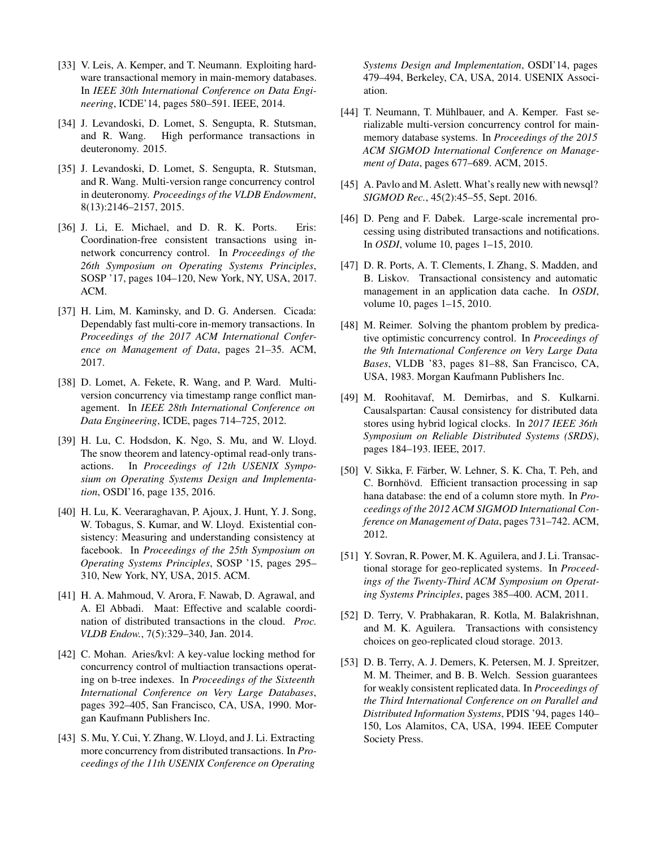- <span id="page-14-13"></span>[33] V. Leis, A. Kemper, and T. Neumann. Exploiting hardware transactional memory in main-memory databases. In *IEEE 30th International Conference on Data Engineering*, ICDE'14, pages 580–591. IEEE, 2014.
- <span id="page-14-17"></span>[34] J. Levandoski, D. Lomet, S. Sengupta, R. Stutsman, and R. Wang. High performance transactions in deuteronomy. 2015.
- <span id="page-14-18"></span>[35] J. Levandoski, D. Lomet, S. Sengupta, R. Stutsman, and R. Wang. Multi-version range concurrency control in deuteronomy. *Proceedings of the VLDB Endowment*, 8(13):2146–2157, 2015.
- <span id="page-14-6"></span>[36] J. Li, E. Michael, and D. R. K. Ports. Eris: Coordination-free consistent transactions using innetwork concurrency control. In *Proceedings of the 26th Symposium on Operating Systems Principles*, SOSP '17, pages 104–120, New York, NY, USA, 2017. ACM.
- <span id="page-14-4"></span>[37] H. Lim, M. Kaminsky, and D. G. Andersen. Cicada: Dependably fast multi-core in-memory transactions. In *Proceedings of the 2017 ACM International Conference on Management of Data*, pages 21–35. ACM, 2017.
- <span id="page-14-19"></span>[38] D. Lomet, A. Fekete, R. Wang, and P. Ward. Multiversion concurrency via timestamp range conflict management. In *IEEE 28th International Conference on Data Engineering*, ICDE, pages 714–725, 2012.
- <span id="page-14-0"></span>[39] H. Lu, C. Hodsdon, K. Ngo, S. Mu, and W. Lloyd. The snow theorem and latency-optimal read-only transactions. In *Proceedings of 12th USENIX Symposium on Operating Systems Design and Implementation*, OSDI'16, page 135, 2016.
- <span id="page-14-11"></span>[40] H. Lu, K. Veeraraghavan, P. Ajoux, J. Hunt, Y. J. Song, W. Tobagus, S. Kumar, and W. Lloyd. Existential consistency: Measuring and understanding consistency at facebook. In *Proceedings of the 25th Symposium on Operating Systems Principles*, SOSP '15, pages 295– 310, New York, NY, USA, 2015. ACM.
- <span id="page-14-20"></span>[41] H. A. Mahmoud, V. Arora, F. Nawab, D. Agrawal, and A. El Abbadi. Maat: Effective and scalable coordination of distributed transactions in the cloud. *Proc. VLDB Endow.*, 7(5):329–340, Jan. 2014.
- <span id="page-14-8"></span>[42] C. Mohan. Aries/kvl: A key-value locking method for concurrency control of multiaction transactions operating on b-tree indexes. In *Proceedings of the Sixteenth International Conference on Very Large Databases*, pages 392–405, San Francisco, CA, USA, 1990. Morgan Kaufmann Publishers Inc.
- <span id="page-14-3"></span>[43] S. Mu, Y. Cui, Y. Zhang, W. Lloyd, and J. Li. Extracting more concurrency from distributed transactions. In *Proceedings of the 11th USENIX Conference on Operating*

*Systems Design and Implementation*, OSDI'14, pages 479–494, Berkeley, CA, USA, 2014. USENIX Association.

- <span id="page-14-12"></span>[44] T. Neumann, T. Mühlbauer, and A. Kemper. Fast serializable multi-version concurrency control for mainmemory database systems. In *Proceedings of the 2015 ACM SIGMOD International Conference on Management of Data*, pages 677–689. ACM, 2015.
- <span id="page-14-5"></span>[45] A. Pavlo and M. Aslett. What's really new with newsql? *SIGMOD Rec.*, 45(2):45–55, Sept. 2016.
- <span id="page-14-2"></span>[46] D. Peng and F. Dabek. Large-scale incremental processing using distributed transactions and notifications. In *OSDI*, volume 10, pages 1–15, 2010.
- <span id="page-14-15"></span>[47] D. R. Ports, A. T. Clements, I. Zhang, S. Madden, and B. Liskov. Transactional consistency and automatic management in an application data cache. In *OSDI*, volume 10, pages 1–15, 2010.
- <span id="page-14-7"></span>[48] M. Reimer. Solving the phantom problem by predicative optimistic concurrency control. In *Proceedings of the 9th International Conference on Very Large Data Bases*, VLDB '83, pages 81–88, San Francisco, CA, USA, 1983. Morgan Kaufmann Publishers Inc.
- <span id="page-14-16"></span>[49] M. Roohitavaf, M. Demirbas, and S. Kulkarni. Causalspartan: Causal consistency for distributed data stores using hybrid logical clocks. In *2017 IEEE 36th Symposium on Reliable Distributed Systems (SRDS)*, pages 184–193. IEEE, 2017.
- <span id="page-14-1"></span>[50] V. Sikka, F. Färber, W. Lehner, S. K. Cha, T. Peh, and C. Bornhövd. Efficient transaction processing in sap hana database: the end of a column store myth. In *Proceedings of the 2012 ACM SIGMOD International Conference on Management of Data*, pages 731–742. ACM, 2012.
- <span id="page-14-14"></span>[51] Y. Sovran, R. Power, M. K. Aguilera, and J. Li. Transactional storage for geo-replicated systems. In *Proceedings of the Twenty-Third ACM Symposium on Operating Systems Principles*, pages 385–400. ACM, 2011.
- <span id="page-14-10"></span>[52] D. Terry, V. Prabhakaran, R. Kotla, M. Balakrishnan, and M. K. Aguilera. Transactions with consistency choices on geo-replicated cloud storage. 2013.
- <span id="page-14-9"></span>[53] D. B. Terry, A. J. Demers, K. Petersen, M. J. Spreitzer, M. M. Theimer, and B. B. Welch. Session guarantees for weakly consistent replicated data. In *Proceedings of the Third International Conference on on Parallel and Distributed Information Systems*, PDIS '94, pages 140– 150, Los Alamitos, CA, USA, 1994. IEEE Computer Society Press.